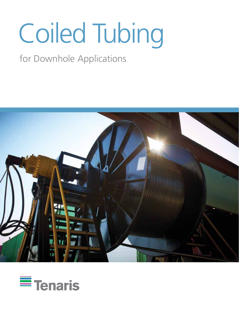# Coiled Tubing

## for Downhole Applications



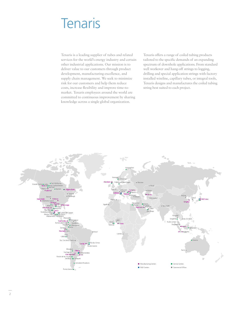## **Tenaris**

Tenaris is a leading supplier of tubes and related services for the world's energy industry and certain other industrial applications. Our mission is to deliver value to our customers through product development, manufacturing excellence, and supply chain management. We seek to minimize risk for our customers and help them reduce costs, increase flexibility and improve time-tomarket. Tenaris employees around the world are committed to continuous improvement by sharing knowledge across a single global organization.

Tenaris offers a range of coiled tubing products tailored to the specific demands of an expanding spectrum of downhole applications. From standard well workover and hang-off strings to logging, drilling and special application strings with factory installed wireline, capillary tubes, or integral tools, Tenaris designs and manufactures the coiled tubing string best suited to each project.

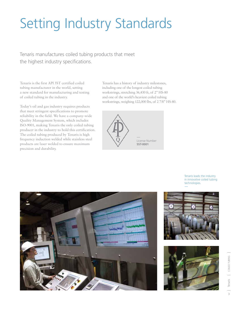## Setting Industry Standards

Tenaris manufactures coiled tubing products that meet the highest industry specifications.

Tenaris is the first API 5ST certified coiled tubing manufacturer in the world, setting a new standard for manufacturing and testing of coiled tubing in the industry.

Today's oil and gas industry requires products that meet stringent specifications to promote reliability in the field. We have a company-wide Quality Management System, which includes ISO-9001, making Tenaris the only coiled tubing producer in the industry to hold this certification. The coiled tubing produced by Tenaris is high frequency induction welded while stainless steel products are laser welded to ensure maximum precision and durability.

Tenaris has a history of industry milestones, including one of the longest coiled tubing workstrings, stretching 36,430 ft, of 2" HS-80 and one of the world's heaviest coiled tubing workstrings, weighing 122,000 lbs, of 2 7/8" HS-80.



Tenaris leads the industry in innovative coiled tubing technologies.





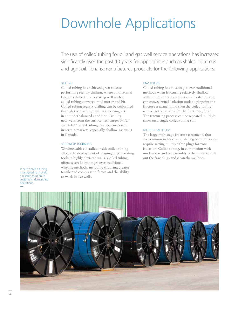## Downhole Applications

The use of coiled tubing for oil and gas well service operations has increased significantly over the past 10 years for applications such as shales, tight gas and tight oil. Tenaris manufactures products for the following applications:

#### DRILLING

Coiled tubing has achieved great success performing reentry drilling, where a horizontal lateral is drilled in an existing well with a coiled tubing conveyed mud motor and bit. Coiled tubing reentry drilling can be performed through the existing production casing and in an underbalanced condition. Drilling new wells from the surface with larger 3-1/2" and 4-1/2" coiled tubing has been successful in certain markets, especially shallow gas wells in Canada.

#### LOGGING/PERFORATING

Wireline cables installed inside coiled tubing allows the deployment of logging or perforating tools in highly deviated wells. Coiled tubing offers several advantages over traditional wireline methods, including enduring greater tensile and compressive forces and the ability to work in live wells.

#### FRACTURING

Coiled tubing has advantages over traditional methods when fracturing relatively shallow wells multiple zone completions. Coiled tubing can convey zonal isolation tools to pinpoint the fracture treatment and then the coiled tubing is used as the conduit for the fracturing fluid. The fracturing process can be repeated multiple times on a single coiled tubing run.

#### MILLING FRAC PLUGS

The large multistage fracture treatments that are common in horizontal shale gas completions require setting multiple frac plugs for zonal isolation. Coiled tubing, in conjunction with mud motor and bit assembly is then used to mill out the frac plugs and clean the wellbore.

Tenaris's coiled tubing is designed to provide a reliable solution to customers' demanding operations.

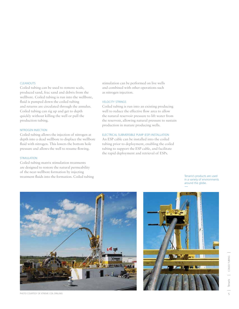#### **CLEANOUTS**

Coiled tubing can be used to remove scale, produced sand, frac sand and debris from the wellbore. Coiled tubing is run into the wellbore, fluid is pumped down the coiled tubing and returns are circulated through the annulus. Coiled tubing can rig up and get to depth quickly without killing the well or pull the production tubing.

#### NITROGEN INJECTION

Coiled tubing allows the injection of nitrogen at depth into a dead wellbore to displace the wellbore fluid with nitrogen. This lowers the bottom hole pressure and allows the well to resume flowing.

#### STIMULATION

Coiled tubing matrix stimulation treatments are designed to restore the natural permeability of the near-wellbore formation by injecting treatment fluids into the formation. Coiled tubing stimulation can be performed on live wells and combined with other operations such as nitrogen injection.

#### VELOCITY STRINGS

Coiled tubing is run into an existing producing well to reduce the effective flow area to allow the natural reservoir pressure to lift water from the reservoir, allowing natural pressure to sustain production in mature producing wells.

#### ELECTRICAL SUBMERSIBLE PUMP (ESP) INSTALLATION

An ESP cable can be installed into the coiled tubing prior to deployment, enabling the coiled tubing to support the ESP cable, and facilitate the rapid deployment and retrieval of ESPs.

> Tenaris's products are used in a variety of environments around the globe.





PHOTO COURTESY OF XTREME COIL DRILLING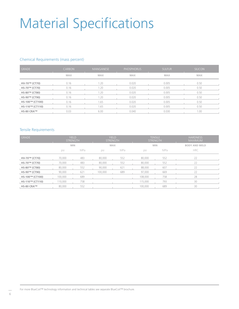## Material Specifications

#### Chemical Requirements (mass percent)

| <b>GRADE</b>    | <b>CARBON</b> | MANGANESE  | <b>PHOSPHORUS</b> | <b>SULFUR</b> | <b>SILICON</b> |
|-----------------|---------------|------------|-------------------|---------------|----------------|
|                 | <b>MAX</b>    | <b>MAX</b> | <b>MAX</b>        | <b>MAX</b>    | <b>MAX</b>     |
| HV-70™ (CT70)   | 0.16          | 1.20       | 0.020             | 0.005         | 0.50           |
| HS-70™ (CT70)   | 0.16          | 1.20       | 0.020             | 0.005         | 0.50           |
| HS-80™ (CT80)   | 0.16          | 1.20       | 0.020             | 0.005         | 0.50           |
| HS-90™ (CT90)   | 0.16          | 1.20       | 0.020             | 0.005         | 0.50           |
| HS-100™ (CT100) | 0.16          | 1.65       | 0.020             | 0.005         | 0.50           |
| HS-110™ (CT110) | 0.16          | 1.65       | 0.020             | 0.005         | 0.50           |
| HS-80 CRA™      | 0.03          | 6.00       | 0.040             | 0.030         | 1.00           |

#### Tensile Requirements

| <b>GRADE</b>    |         | <b>YIELD</b><br><b>STRENGTH</b> |         | <b>YIELD</b><br><b>STRENGTH</b> | <b>TENSILE</b><br><b>STRENGTH</b> |            | <b>HARDNESS</b><br><b>MAXIMUM</b> |
|-----------------|---------|---------------------------------|---------|---------------------------------|-----------------------------------|------------|-----------------------------------|
|                 |         | <b>MIN</b>                      |         | <b>MAX</b>                      |                                   | <b>MIN</b> | <b>BODY AND WELD</b>              |
|                 | psi     | <b>MPa</b>                      | psi     | MPa                             | psi                               | <b>MPa</b> | <b>HRC</b>                        |
| HV-70™ (CT70)   | 70,000  | 483                             | 80,000  | 552                             | 80,000                            | 552        | 22                                |
| HS-70™ (CT70)   | 70,000  | 483                             | 80,000  | 552                             | 80,000                            | 552        | 22                                |
| HS-80™ (CT80)   | 80,000  | 552                             | 90,000  | 621                             | 88,000                            | 607        | 22                                |
| HS-90™ (CT90)   | 90,000  | 621                             | 100,000 | 689                             | 97,000                            | 669        | 22                                |
| HS-100™ (CT100) | 100,000 | 689                             |         |                                 | 108,000                           | 758        | 28                                |
| HS-110™ (CT110) | 110,000 | 758                             |         |                                 | 115,000                           | 793        | 30                                |
| HS-80 CRA™      | 80,000  | 552                             |         |                                 | 100,000                           | 689        | 30                                |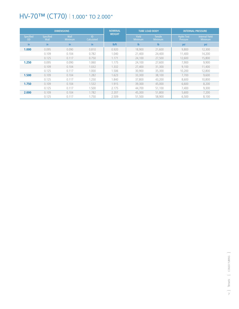## HV-70™ (CT70) | 1.000" TO 2.000"

|                               |                   | <b>DIMENSIONS</b> |                  | <b>NOMINAL</b><br><b>WEIGHT</b> |                                | <b>TUBE LOAD BODY</b>            |                               | <b>INTERNAL PRESSURE</b>                |
|-------------------------------|-------------------|-------------------|------------------|---------------------------------|--------------------------------|----------------------------------|-------------------------------|-----------------------------------------|
| <b>Specified</b><br><b>OD</b> | Specified<br>Wall | Wall<br>Minimum   | ID<br>Calculated |                                 | <b>Yield</b><br><b>Minimum</b> | <b>Tensile</b><br><b>Minimum</b> | <b>Hydro Test</b><br>Pressure | <b>Internal Yield</b><br><b>Minimum</b> |
| in.                           | in.               | in                | in.              | I <sub>b</sub> /ft              | $\mathsf{lb}$                  | $\mathbf{I}$                     | psi                           | psi                                     |
| 1.000                         | 0.095             | 0.090             | 0.810            | 0.920                           | 18,900                         | 21,600                           | 9.800                         | 12,300                                  |
|                               | 0.109             | 0.104             | 0.782            | 1.040                           | 21,400                         | 24,400                           | 11,400                        | 14,200                                  |
|                               | 0.125             | 0.117             | 0.750            | 1.171                           | 24,100                         | 27,500                           | 12,600                        | 15,800                                  |
| 1.250                         | 0.095             | 0.090             | 1.060            | 1.175                           | 24,100                         | 27,600                           | 7,900                         | 9,900                                   |
|                               | 0.109             | 0.104             | 1.032            | 1.332                           | 27,400                         | 31,300                           | 9,100                         | 11,400                                  |
|                               | 0.125             | 0.117             | 1.000            | 1.506                           | 30,900                         | 35,300                           | 10.200                        | 12,800                                  |
| 1.500                         | 0.109             | 0.104             | 1.282            | 1.623                           | 33,300                         | 38,100                           | 7.700                         | 9,600                                   |
|                               | 0.125             | 0.117             | 1.250            | .840                            | 37,800                         | 43,200                           | 8.600                         | 10,800                                  |
| 1.750                         | 0.109             | 0.104             | 1.532            | 1.915                           | 39,300                         | 45,000                           | 6,600                         | 8,200                                   |
|                               | 0.125             | 0.117             | 1.500            | 2.175                           | 44,700                         | 51,100                           | 7,400                         | 9,300                                   |
| 2.000                         | 0.109             | 0.104             | 1.782            | 2.207                           | 45,300                         | 51,800                           | 5,600                         | 7,200                                   |
|                               | 0.125             | 0.117             | 1.750            | 2.509                           | 51,500                         | 58,900                           | 6,500                         | 8,100                                   |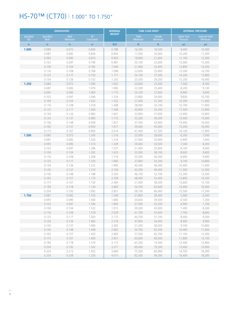## HS-70™ (CT70) | 1.000" TO 1.750"

|                               |                          | <b>DIMENSIONS</b> |                  | <b>NOMINAL</b><br><b>WEIGHT</b> |                         | <b>TUBE LOAD BODY</b>            |                               | <b>INTERNAL PRESSURE</b>                |
|-------------------------------|--------------------------|-------------------|------------------|---------------------------------|-------------------------|----------------------------------|-------------------------------|-----------------------------------------|
| <b>Specified</b><br><b>OD</b> | <b>Specified</b><br>Wall | Wall<br>Minimum   | ID<br>Calculated |                                 | <b>Yield</b><br>Minimum | <b>Tensile</b><br><b>Minimum</b> | <b>Hydro Test</b><br>Pressure | <b>Internal Yield</b><br><b>Minimum</b> |
| in                            | in                       | in.               | in.              | I <sub>b</sub> /ft              | $\mathsf{lb}$           | $\mathbf{I}$                     | psi                           | psi                                     |
| 1.000                         | 0.080                    | 0.075             | 0.840            | 0.788                           | 16,200                  | 18,500                           | 9,400                         | 10,400                                  |
|                               | 0.087                    | 0.082             | 0.826            | 0.850                           | 17,500                  | 20,000                           | 10,200                        | 11,300                                  |
|                               | 0.095                    | 0.090             | 0.810            | 0.920                           | 18,900                  | 21,600                           | 11,100                        | 12,300                                  |
|                               | 0.102                    | 0.097             | 0.796            | 0.981                           | 20,100                  | 23,000                           | 12,000                        | 13,300                                  |
|                               | 0.109                    | 0.104             | 0.782            | 1.040                           | 21,400                  | 24,400                           | 12,800                        | 14,200                                  |
|                               | 0.116                    | 0.108             | 0.768            | 1.098                           | 22,600                  | 25,800                           | 13,200                        | 14,700                                  |
|                               | 0.125                    | 0.117             | 0.750            | 1.171                           | 24,100                  | 27,500                           | 14,200                        | 15,800                                  |
|                               | 0.134                    | 0.126             | 0.732            | 1.242                           | 25,500                  | 29,200                           | 15,200                        | 16,900                                  |
| 1.250                         | 0.080                    | 0.075             | 1.090            | 1.002                           | 20,600                  | 23,500                           | 7,500                         | 8,300                                   |
|                               | 0.087                    | 0.082             | 1.076            | 1.083                           | 22,300                  | 25,400                           | 8,200                         | 9,100                                   |
|                               | 0.095                    | 0.090             | 1.060            | 1.175                           | 24,100                  | 27,600                           | 8,900                         | 9,900                                   |
|                               | 0.102                    | 0.097             | 1.046            | 1.254                           | 25,800                  | 29,400                           | 9,600                         | 10,700                                  |
|                               | 0.109                    | 0.104             | 1.032            | 1.332                           | 27,400                  | 31,300                           | 10,300                        | 11,400                                  |
|                               | 0.116                    | 0.108             | 1.018            | 1.408                           | 28,900                  | 33,100                           | 10,700                        | 11,900                                  |
|                               | 0.125                    | 0.117             | 1.000            | 1.506                           | 30,900                  | 35,300                           | 11,500                        | 12,800                                  |
|                               | 0.134                    | 0.126             | 0.982            | 1.601                           | 32,900                  | 37,600                           | 12,400                        | 13,800                                  |
|                               | 0.145                    | 0.137             | 0.960            | 1.715                           | 35,200                  | 40,300                           | 13,400                        | 14,900                                  |
|                               | 0.156                    | 0.148             | 0.938            | 1.827                           | 37,500                  | 42,900                           | 14,400                        | 16,000                                  |
|                               | 0.165                    | 0.157             | 0.920            | 1.917                           | 39,400                  | 45,000                           | 15,200                        | 16,900                                  |
|                               | 0.175                    | 0.167             | 0.900            | 2.014                           | 41,400                  | 47,300                           | 16,100                        | 17,900                                  |
| 1.500                         | 0.080                    | 0.075             | 1.340            | 1.216                           | 25,000                  | 28,600                           | 6,300                         | 7,000                                   |
|                               | 0.087                    | 0.082             | 1.326            | 1.316                           | 27,000                  | 30,900                           | 6,800                         | 7,600                                   |
|                               | 0.095                    | 0.090             | 1.310            | 1.429                           | 29,400                  | 33,500                           | 7,500                         | 8,300                                   |
|                               | 0.102                    | 0.097             | 1.296            | 1.527                           | 31,400                  | 35,800                           | 8,100                         | 9,000                                   |
|                               | 0.109                    | 0.104             | 1.282            | 1.623                           | 33,300                  | 38,100                           | 8,600                         | 9,600                                   |
|                               | 0.116                    | 0.108             | 1.268            | 1.719                           | 35,300                  | 40,300                           | 8,900                         | 9,900                                   |
|                               | 0.125                    | 0.117             | 1.250            | 1.840                           | 37,800                  | 43,200                           | 9,700                         | 10,800                                  |
|                               | 0.134<br>0.145           | 0.126<br>0.137    | 1.232<br>1.210   | 1.960<br>2.104                  | 40,300                  | 46,000                           | 10,400                        | 11,600                                  |
|                               | 0.156                    | 0.148             | 1.188            | 2.245                           | 43,200                  | 49,400                           | 11,300                        | 12,500                                  |
|                               | 0.165                    | 0.157             | 1.170            | 2.358                           | 46,100<br>48,400        | 52,700<br>55,400                 | 12,200<br>12,800              | 13,500<br>14,200                        |
|                               | 0.175                    | 0.167             | 1.150            | 2.483                           | 51,000                  | 58,300                           | 13,600                        | 15,100                                  |
|                               | 0.190                    | 0.178             | 1.120            | 2.665                           | 54,700                  | 62,600                           | 14,400                        | 16,000                                  |
|                               | 0.204                    | 0.192             | 1.092            | 2.831                           | 58,100                  | 66,400                           | 15,500                        | 17,200                                  |
| 1.750                         | 0.087                    | 0.082             | 1.576            | 1.549                           | 31,800                  | 36,400                           | 5,900                         | 6,500                                   |
|                               | 0.095                    | 0.090             | 1.560            | 1.683                           | 34,600                  | 39,500                           | 6,500                         | 7,200                                   |
|                               | 0.102                    | 0.097             | 1.546            | 1.800                           | 37,000                  | 42,200                           | 6,900                         | 7,700                                   |
|                               | 0.109                    | 0.104             | 1.532            | 1.915                           | 39,300                  | 45,000                           | 7,400                         | 8,200                                   |
|                               | 0.116                    | 0.108             | 1.518            | 2.029                           | 41,700                  | 47,600                           | 7,700                         | 8,600                                   |
|                               | 0.125                    | 0.117             | 1.500            | 2.175                           | 44,700                  | 51,100                           | 8,400                         | 9,300                                   |
|                               | 0.134                    | 0.126             | 1.482            | 2.318                           | 47,600                  | 54,400                           | 8,900                         | 9,900                                   |
|                               | 0.145                    | 0.137             | 1.460            | 2.492                           | 51,200                  | 58,500                           | 9,700                         | 10,800                                  |
|                               | 0.156                    | 0.148             | 1.438            | 2.662                           | 54,700                  | 62,500                           | 10,400                        | 11,600                                  |
|                               | 0.165                    | 0.157             | 1.420            | 2.800                           | 57,500                  | 65,700                           | 11,100                        | 12,300                                  |
|                               | 0.175                    | 0.167             | 1.400            | 2.951                           | 60,600                  | 69,300                           | 11,800                        | 13,100                                  |
|                               | 0.190                    | 0.178             | 1.370            | 3.173                           | 65,200                  | 74,500                           | 12,500                        | 13,900                                  |
|                               | 0.204                    | 0.192             | 1.342            | 3.377                           | 69,400                  | 79,300                           | 13,400                        | 14,900                                  |
|                               | 0.224                    | 0.212             | 1.302            | 3.660                           | 75,200                  | 85,900                           | 14,700                        | 16,300                                  |
|                               | 0.250                    | 0.238             | 1.250            | 4.015                           | 82,500                  | 94,200                           | 16,400                        | 18,200                                  |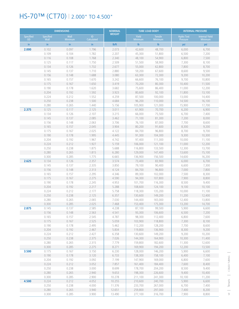## HS-70™ (CT70) | 2.000" TO 4.500"

|                               |                          | <b>DIMENSIONS</b>      |                  | <b>NOMINAL</b>     |                                | <b>TUBE LOAD BODY</b>            |                               | <b>INTERNAL PRESSURE</b>                |
|-------------------------------|--------------------------|------------------------|------------------|--------------------|--------------------------------|----------------------------------|-------------------------------|-----------------------------------------|
| <b>Specified</b><br><b>OD</b> | <b>Specified</b><br>Wall | Wall<br><b>Minimum</b> | ID<br>Calculated | <b>WEIGHT</b>      | <b>Yield</b><br><b>Minimum</b> | <b>Tensile</b><br><b>Minimum</b> | <b>Hydro Test</b><br>Pressure | <b>Internal Yield</b><br><b>Minimum</b> |
| in.                           | in                       | in                     | in.              | I <sub>b</sub> /ft | $\mathsf{lb}$                  | $\mathsf{lb}$                    | psi                           | psi                                     |
| 2.000                         | 0.102                    | 0.097                  | 1.796            | 2.073              | 42,600                         | 48,700                           | 6,000                         | 6,700                                   |
|                               | 0.109                    | 0.104                  | 1.782            | 2.207              | 45,300                         | 51,800                           | 6,500                         | 7,200                                   |
|                               | 0.116                    | 0.108                  | 1.768            | 2.340              | 48,100                         | 54,900                           | 6,800                         | 7,500                                   |
|                               | 0.125                    | 0.117                  | 1.750            | 2.509              | 51,500                         | 58,900                           | 7,300                         | 8,100                                   |
|                               | 0.134                    | 0.126                  | 1.732            | 2.677              | 55,000                         | 62,800                           | 7,800                         | 8,700                                   |
|                               | 0.145                    | 0.137                  | 1.710            | 2.880              | 59,200                         | 67,600                           | 8,600                         | 9,500                                   |
|                               | 0.156                    | 0.148                  | 1.688            | 3.080              | 63,300                         | 72,300                           | 9,200                         | 10,200                                  |
|                               | 0.165                    | 0.157                  | 1.670            | 3.242              | 66,600                         | 76,100                           | 9,700                         | 10,800                                  |
|                               | 0.175                    | 0.167                  | 1.650            | 3.419              | 70,200                         | 80,300                           | 10,400                        | 11,500                                  |
|                               | 0.190                    | 0.178                  | 1.620            | 3.682              | 75,600                         | 86,400                           | 11,000                        | 12,200                                  |
|                               | 0.204                    | 0.192                  | 1.592            | 3.923              | 80,600                         | 92,100                           | 11,800                        | 13,100                                  |
|                               | 0.224                    | 0.212                  | 1.552            | 4.259              | 87,500                         | 100,000                          | 13,000                        | 14,400                                  |
|                               | 0.250                    | 0.238                  | 1.500            | 4.684              | 96,200                         | 110,000                          | 14,500                        | 16,100                                  |
|                               | 0.280                    | 0.265                  | 1.440            | 5.156              | 105,900                        | 121,000                          | 15,900                        | 17,700                                  |
| 2.375                         | 0.125                    | 0.117                  | 2.125            | 3.011              | 61,900                         | 70,700                           | 6,200                         | 6,900                                   |
|                               | 0.134                    | 0.126                  | 2.107            | 3.215              | 66,000                         | 75,500                           | 6,700                         | 7,400                                   |
|                               | 0.145                    | 0.137                  | 2.085            | 3.462              | 71,100                         | 81,300                           | 7,200                         | 8,000                                   |
|                               | 0.156                    | 0.148                  | 2.063            | 3.706              | 76,100                         | 87,000                           | 7,700                         | 8,600                                   |
|                               | 0.165                    | 0.157                  | 2.045            | 3.904              | 80,200                         | 91,600                           | 8,300                         | 9,200                                   |
|                               | 0.175<br>0.190           | 0.167<br>0.178         | 2.025<br>1.995   | 4.122<br>4.445     | 84,700<br>91,300               | 96,800                           | 8,700                         | 9,700                                   |
|                               | 0.204                    | 0.192                  | 1.967            | 4.742              | 97,400                         | 104,300<br>111,300               | 9,300<br>10,000               | 10,300<br>11,100                        |
|                               | 0.224                    | 0.212                  | 1.927            | 5.159              | 106,000                        | 121,100                          | 11,000                        | 12,200                                  |
|                               | 0.250                    | 0.238                  | 1.875            | 5.688              | 116,800                        | 133,500                          | 12,300                        | 13,700                                  |
|                               | 0.280                    | 0.265                  | 1.815            | 6.280              | 129,000                        | 147,400                          | 13,600                        | 15,100                                  |
|                               | 0.300                    | 0.285                  | 1.775            | 6.665              | 136,900                        | 156,500                          | 14,600                        | 16,200                                  |
| 2.625                         | 0.134                    | 0.126                  | 2.357            | 3.574              | 73,400                         | 83,900                           | 6,000                         | 6,700                                   |
|                               | 0.145                    | 0.137                  | 2.335            | 3.850              | 79,100                         | 90,400                           | 6,600                         | 7,300                                   |
|                               | 0.156                    | 0.148                  | 2.313            | 4.124              | 84,700                         | 96,800                           | 7,000                         | 7,800                                   |
|                               | 0.165                    | 0.157                  | 2.295            | 4.346              | 89,300                         | 102,000                          | 7,500                         | 8,300                                   |
|                               | 0.175                    | 0.167                  | 2.275            | 4.590              | 94,300                         | 107,800                          | 7,900                         | 8,800                                   |
|                               | 0.190                    | 0.178                  | 2.245            | 4.953              | 101,700                        | 116,300                          | 8,500                         | 9,400                                   |
|                               | 0.204                    | 0.192                  | 2.217            | 5.288              | 108,600                        | 124,100                          | 9,100                         | 10,100                                  |
|                               | 0.224                    | 0.212                  | 2.177            | 5.758              | 118,300                        | 135,200                          | 10,000                        | 11,100                                  |
|                               | 0.250                    | 0.238                  | 2.125            | 6.357              | 130,600                        | 149,200                          | 11,200                        | 12,400                                  |
|                               | 0.280                    | 0.265                  | 2.065            | 7.030              | 144,400                        | 165,000                          | 12,400                        | 13,800                                  |
|                               | 0.300                    | 0.285                  | 2.025            | 7.468              | 153,400                        | 175,300                          | 13,200                        | 14,700                                  |
| 2.875                         | 0.145                    | 0.137                  | 2.585            | 4.238              | 87,100                         | 99,500                           | 5,900                         | 6,600                                   |
|                               | 0.156                    | 0.148                  | 2.563            | 4.541              | 93,300                         | 106,600                          | 6,500                         | 7,200                                   |
|                               | 0.165                    | 0.157                  | 2.545            | 4.787              | 98,300                         | 112,400                          | 6,800                         | 7,600                                   |
|                               | 0.175                    | 0.167                  | 2.525            | 5.059              | 103,900                        | 118,800                          | 7,300                         | 8,100                                   |
|                               | 0.190                    | 0.178                  | 2.495            | 5.462              | 112,200                        | 128,200                          | 7,700                         | 8,600                                   |
|                               | 0.204                    | 0.192                  | 2.467            | 5.834              | 119,800                        | 136,900                          | 8,300                         | 9,200                                   |
|                               | 0.224                    | 0.212                  | 2.427            | 6.358              | 130,600                        | 149,200                          | 9,200                         | 10,200                                  |
|                               | 0.250                    | 0.238                  | 2.375            | 7.026              | 144,300                        | 164,900                          | 10,300                        | 11,400                                  |
|                               | 0.280                    | 0.265                  | 2.315            | 7.779              | 159,800                        | 182,600                          | 11,300                        | 12,600                                  |
|                               | 0.300                    | 0.285                  | 2.275            | 8.271              | 169,900                        | 194,200                          | 12,200                        | 13,500                                  |
| 3.500                         | 0.175                    | 0.167                  | 3.150            | 6.230              | 128,000                        | 146,200                          | 5,900                         | 6,600                                   |
|                               | 0.190<br>0.204           | 0.178                  | 3.120<br>3.092   | 6.733              | 138,300                        | 158,100                          | 6,400                         | 7,100                                   |
|                               |                          | 0.192                  |                  | 7.199              | 147,900                        | 169,000                          | 6,800                         | 7,600                                   |
|                               | 0.224<br>0.250           | 0.212<br>0.238         | 3.052<br>3.000   | 7.857<br>8.699     | 161,400                        | 184,400                          | 7,600                         | 8,400<br>9,400                          |
|                               | 0.280                    | 0.265                  | 2.940            | 9.653              | 178,700<br>198,300             | 204,200<br>226,600               | 8,500<br>9,400                | 10,400                                  |
|                               | 0.300                    | 0.285                  | 2.900            | 10.278             | 211,100                        | 241,300                          | 10,100                        | 11,200                                  |
| 4.500                         | 0.224                    | 0.212                  | 4.052            | 10.255             | 210,600                        | 240,700                          | 5,900                         | 6,600                                   |
|                               | 0.250                    | 0.238                  | 4.000            | 11.376             | 233,700                        | 267,000                          | 6,700                         | 7,400                                   |
|                               | 0.280                    | 0.265                  | 3.940            | 12.651             | 259,800                        | 297,000                          | 7,400                         | 8,200                                   |
|                               | 0.300                    | 0.285                  | 3.900            | 13.490             | 277,100                        | 316,700                          | 7,900                         | 8,800                                   |
|                               |                          |                        |                  |                    |                                |                                  |                               |                                         |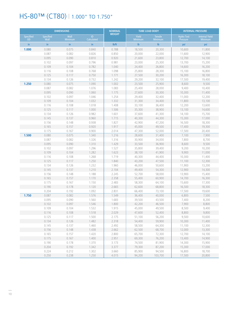## HS-80™ (CT80) | 1.000" TO 1.750"

|                               |                          | <b>DIMENSIONS</b>      |                   | <b>NOMINAL</b>     |                         | <b>TUBE LOAD BODY</b> |        | <b>INTERNAL PRESSURE</b><br><b>Internal Yield</b><br><b>Hydro Test</b><br><b>Pressure</b><br><b>Minimum</b><br>psi<br>psi<br>10,600<br>11,800<br>11,600<br>12,900<br>12,700<br>14,100<br>13,700<br>15,200<br>14,600<br>16,200<br>15,100<br>16,800<br>16,300<br>18,100<br>17,500<br>19,400<br>8,600<br>9,500<br>9,400<br>10,400<br>10,300<br>11,400<br>11,000<br>12,200<br>11,800<br>13,100<br>12,200<br>13,600<br>13,100<br>14,600<br>14,100<br>15,700<br>15,300<br>17,000<br>16,500<br>18,300<br>19,300<br>17,400<br>17,500<br>20,400<br>7,100<br>7,900<br>8,700<br>7,800<br>9,500<br>8,600<br>9,200<br>10,200<br>9,900<br>11,000<br>10,300<br>11,400<br>11,100<br>12,300<br>11,900<br>13,200<br>12,900<br>14,300<br>13,900<br>15,400<br>14,700<br>16,300<br>15,600<br>17,300<br>16,500<br>18,300<br>17,500<br>19,600<br>7,500<br>6,800<br>7,400<br>8,200<br>7,900<br>8,800<br>8,500<br>9,400<br>9,800<br>8,800<br>9,500<br>10,600<br>10,300<br>11,400<br>11,100<br>12,300<br>12,000<br>13,300<br>12,700<br>14,100<br>13,400<br>14,900<br>15,900<br>14,300 |  |
|-------------------------------|--------------------------|------------------------|-------------------|--------------------|-------------------------|-----------------------|--------|-------------------------------------------------------------------------------------------------------------------------------------------------------------------------------------------------------------------------------------------------------------------------------------------------------------------------------------------------------------------------------------------------------------------------------------------------------------------------------------------------------------------------------------------------------------------------------------------------------------------------------------------------------------------------------------------------------------------------------------------------------------------------------------------------------------------------------------------------------------------------------------------------------------------------------------------------------------------------------------------------------------------------------------------------------------|--|
| <b>Specified</b><br><b>OD</b> | <b>Specified</b><br>Wall | Wall<br><b>Minimum</b> | ID.<br>Calculated | <b>WEIGHT</b>      | <b>Yield</b><br>Minimum | Tensile<br>Minimum    |        |                                                                                                                                                                                                                                                                                                                                                                                                                                                                                                                                                                                                                                                                                                                                                                                                                                                                                                                                                                                                                                                             |  |
| in                            | in                       | in.                    | in.               | I <sub>b</sub> /ft | $\mathsf{lb}$           | $\mathsf{lb}$         |        |                                                                                                                                                                                                                                                                                                                                                                                                                                                                                                                                                                                                                                                                                                                                                                                                                                                                                                                                                                                                                                                             |  |
| 1.000                         | 0.080                    | 0.075                  | 0.840             | 0.788              | 18,500                  | 20,300                |        |                                                                                                                                                                                                                                                                                                                                                                                                                                                                                                                                                                                                                                                                                                                                                                                                                                                                                                                                                                                                                                                             |  |
|                               | 0.087                    | 0.082                  | 0.826             | 0.850              | 20,000                  | 22,000                |        |                                                                                                                                                                                                                                                                                                                                                                                                                                                                                                                                                                                                                                                                                                                                                                                                                                                                                                                                                                                                                                                             |  |
|                               | 0.095                    | 0.090                  | 0.810             | 0.920              | 21,600                  | 23,800                |        |                                                                                                                                                                                                                                                                                                                                                                                                                                                                                                                                                                                                                                                                                                                                                                                                                                                                                                                                                                                                                                                             |  |
|                               | 0.102                    | 0.097                  | 0.796             | 0.981              | 23,000                  | 25,300                |        |                                                                                                                                                                                                                                                                                                                                                                                                                                                                                                                                                                                                                                                                                                                                                                                                                                                                                                                                                                                                                                                             |  |
|                               | 0.109                    | 0.104                  | 0.782             | 1.040              | 24,400                  | 26,800                |        |                                                                                                                                                                                                                                                                                                                                                                                                                                                                                                                                                                                                                                                                                                                                                                                                                                                                                                                                                                                                                                                             |  |
|                               | 0.116                    | 0.108                  | 0.768             | 1.098              | 25,800                  | 28,300                |        |                                                                                                                                                                                                                                                                                                                                                                                                                                                                                                                                                                                                                                                                                                                                                                                                                                                                                                                                                                                                                                                             |  |
|                               | 0.125                    | 0.117                  | 0.750             | 1.171              | 27,500                  | 30,200                |        |                                                                                                                                                                                                                                                                                                                                                                                                                                                                                                                                                                                                                                                                                                                                                                                                                                                                                                                                                                                                                                                             |  |
|                               | 0.134                    | 0.126                  | 0.732             | 1.242              | 29,200                  | 32,100                |        |                                                                                                                                                                                                                                                                                                                                                                                                                                                                                                                                                                                                                                                                                                                                                                                                                                                                                                                                                                                                                                                             |  |
| 1.250                         | 0.080                    | 0.075                  | 1.090             | 1.002              | 23,500                  | 25,900                |        |                                                                                                                                                                                                                                                                                                                                                                                                                                                                                                                                                                                                                                                                                                                                                                                                                                                                                                                                                                                                                                                             |  |
|                               | 0.087                    | 0.082                  | 1.076             | 1.083              | 25,400                  | 28,000                |        |                                                                                                                                                                                                                                                                                                                                                                                                                                                                                                                                                                                                                                                                                                                                                                                                                                                                                                                                                                                                                                                             |  |
|                               | 0.095                    | 0.090                  | 1.060             | 1.175              | 27,600                  | 30,300                |        |                                                                                                                                                                                                                                                                                                                                                                                                                                                                                                                                                                                                                                                                                                                                                                                                                                                                                                                                                                                                                                                             |  |
|                               | 0.102                    | 0.097                  | 1.046             | 1.254              | 29,400                  | 32,400                |        |                                                                                                                                                                                                                                                                                                                                                                                                                                                                                                                                                                                                                                                                                                                                                                                                                                                                                                                                                                                                                                                             |  |
|                               | 0.109                    | 0.104                  | 1.032             | 1.332              | 31,300                  | 34,400                |        |                                                                                                                                                                                                                                                                                                                                                                                                                                                                                                                                                                                                                                                                                                                                                                                                                                                                                                                                                                                                                                                             |  |
|                               | 0.116                    | 0.108                  | 1.018             | 1.408              | 33,100                  | 36,400                |        |                                                                                                                                                                                                                                                                                                                                                                                                                                                                                                                                                                                                                                                                                                                                                                                                                                                                                                                                                                                                                                                             |  |
|                               | 0.125                    | 0.117                  | 1.000             | 1.506              | 35,300                  | 38,900                |        |                                                                                                                                                                                                                                                                                                                                                                                                                                                                                                                                                                                                                                                                                                                                                                                                                                                                                                                                                                                                                                                             |  |
|                               | 0.134                    | 0.126                  | 0.982             | 1.601              | 37,600                  | 41.300                |        |                                                                                                                                                                                                                                                                                                                                                                                                                                                                                                                                                                                                                                                                                                                                                                                                                                                                                                                                                                                                                                                             |  |
|                               | 0.145                    | 0.137                  | 0.960             | 1.715              | 40,300                  | 44,300                |        |                                                                                                                                                                                                                                                                                                                                                                                                                                                                                                                                                                                                                                                                                                                                                                                                                                                                                                                                                                                                                                                             |  |
|                               | 0.156                    | 0.148                  | 0.938             | 1.827              | 42,900                  | 47,200                |        |                                                                                                                                                                                                                                                                                                                                                                                                                                                                                                                                                                                                                                                                                                                                                                                                                                                                                                                                                                                                                                                             |  |
|                               | 0.165                    | 0.157                  | 0.920             | 1.917              | 45,000                  | 49,500                |        |                                                                                                                                                                                                                                                                                                                                                                                                                                                                                                                                                                                                                                                                                                                                                                                                                                                                                                                                                                                                                                                             |  |
|                               | 0.175                    | 0.167                  | 0.900             | 2.014              | 47,300                  | 52,000                |        |                                                                                                                                                                                                                                                                                                                                                                                                                                                                                                                                                                                                                                                                                                                                                                                                                                                                                                                                                                                                                                                             |  |
| 1.500                         | 0.080                    | 0.075                  | 1.340             | 1.216              | 28,600                  | 31,400                |        |                                                                                                                                                                                                                                                                                                                                                                                                                                                                                                                                                                                                                                                                                                                                                                                                                                                                                                                                                                                                                                                             |  |
|                               | 0.087                    | 0.082                  | 1.326             | 1.316              | 30,900                  | 34,000                |        |                                                                                                                                                                                                                                                                                                                                                                                                                                                                                                                                                                                                                                                                                                                                                                                                                                                                                                                                                                                                                                                             |  |
|                               | 0.095                    | 0.090                  | 1.310             | 1.429              | 33,500                  | 36,900                |        |                                                                                                                                                                                                                                                                                                                                                                                                                                                                                                                                                                                                                                                                                                                                                                                                                                                                                                                                                                                                                                                             |  |
|                               | 0.102                    | 0.097                  | 1.296             | 1.527              | 35,800                  | 39,400                |        |                                                                                                                                                                                                                                                                                                                                                                                                                                                                                                                                                                                                                                                                                                                                                                                                                                                                                                                                                                                                                                                             |  |
|                               | 0.109                    | 0.104                  | 1.282             | 1.623              | 38,100                  | 41,900                |        |                                                                                                                                                                                                                                                                                                                                                                                                                                                                                                                                                                                                                                                                                                                                                                                                                                                                                                                                                                                                                                                             |  |
|                               | 0.116                    | 0.108                  | 1.268             | 1.719              | 40,300                  | 44,400                |        |                                                                                                                                                                                                                                                                                                                                                                                                                                                                                                                                                                                                                                                                                                                                                                                                                                                                                                                                                                                                                                                             |  |
|                               | 0.125                    | 0.117                  | 1.250             | 1.840              | 43,200                  | 47,500                |        |                                                                                                                                                                                                                                                                                                                                                                                                                                                                                                                                                                                                                                                                                                                                                                                                                                                                                                                                                                                                                                                             |  |
|                               | 0.134                    | 0.126                  | 1.232             | 1.960              | 46,000                  | 50,600                |        |                                                                                                                                                                                                                                                                                                                                                                                                                                                                                                                                                                                                                                                                                                                                                                                                                                                                                                                                                                                                                                                             |  |
|                               | 0.145                    | 0.137                  | 1.210             | 2.104              | 49,400                  | 54,300                |        |                                                                                                                                                                                                                                                                                                                                                                                                                                                                                                                                                                                                                                                                                                                                                                                                                                                                                                                                                                                                                                                             |  |
|                               | 0.156                    | 0.148                  | 1.188             | 2.245              | 52,700                  | 58,000                |        |                                                                                                                                                                                                                                                                                                                                                                                                                                                                                                                                                                                                                                                                                                                                                                                                                                                                                                                                                                                                                                                             |  |
|                               | 0.165                    | 0.157                  | 1.170             | 2.358              | 55,400                  | 60,900                |        |                                                                                                                                                                                                                                                                                                                                                                                                                                                                                                                                                                                                                                                                                                                                                                                                                                                                                                                                                                                                                                                             |  |
|                               | 0.175                    | 0.167                  | 1.150             | 2.483              | 58,300                  | 64,100                |        |                                                                                                                                                                                                                                                                                                                                                                                                                                                                                                                                                                                                                                                                                                                                                                                                                                                                                                                                                                                                                                                             |  |
|                               | 0.190                    | 0.178                  | 1.120             | 2.665              | 62,600                  | 68,800                |        |                                                                                                                                                                                                                                                                                                                                                                                                                                                                                                                                                                                                                                                                                                                                                                                                                                                                                                                                                                                                                                                             |  |
|                               | 0.204                    | 0.192                  | 1.092             | 2.831              | 66.400                  | 73,100                |        |                                                                                                                                                                                                                                                                                                                                                                                                                                                                                                                                                                                                                                                                                                                                                                                                                                                                                                                                                                                                                                                             |  |
| 1.750                         | 0.087                    | 0.082<br>0.090         | 1.576             | 1.549              | 36,400                  | 40,000                |        |                                                                                                                                                                                                                                                                                                                                                                                                                                                                                                                                                                                                                                                                                                                                                                                                                                                                                                                                                                                                                                                             |  |
|                               | 0.095<br>0.102           | 0.097                  | 1.560<br>1.546    | 1.683<br>1.800     | 39,500<br>42,200        | 43,500<br>46,500      |        |                                                                                                                                                                                                                                                                                                                                                                                                                                                                                                                                                                                                                                                                                                                                                                                                                                                                                                                                                                                                                                                             |  |
|                               | 0.109                    | 0.104                  | 1.532             | 1.915              | 45,000                  | 49,500                |        |                                                                                                                                                                                                                                                                                                                                                                                                                                                                                                                                                                                                                                                                                                                                                                                                                                                                                                                                                                                                                                                             |  |
|                               | 0.116                    | 0.108                  | 1.518             | 2.029              | 47,600                  | 52,400                |        |                                                                                                                                                                                                                                                                                                                                                                                                                                                                                                                                                                                                                                                                                                                                                                                                                                                                                                                                                                                                                                                             |  |
|                               | 0.125                    | 0.117                  | 1.500             | 2.175              |                         |                       |        |                                                                                                                                                                                                                                                                                                                                                                                                                                                                                                                                                                                                                                                                                                                                                                                                                                                                                                                                                                                                                                                             |  |
|                               | 0.134                    | 0.126                  | 1.482             | 2.318              | 51,100<br>54,400        | 56,200<br>59,900      |        |                                                                                                                                                                                                                                                                                                                                                                                                                                                                                                                                                                                                                                                                                                                                                                                                                                                                                                                                                                                                                                                             |  |
|                               | 0.145                    | 0.137                  | 1.460             | 2.492              | 58,500                  | 64,300                |        |                                                                                                                                                                                                                                                                                                                                                                                                                                                                                                                                                                                                                                                                                                                                                                                                                                                                                                                                                                                                                                                             |  |
|                               | 0.156                    | 0.148                  | 1.438             | 2.662              | 62,500                  | 68,700                |        |                                                                                                                                                                                                                                                                                                                                                                                                                                                                                                                                                                                                                                                                                                                                                                                                                                                                                                                                                                                                                                                             |  |
|                               | 0.165                    | 0.157                  | 1.420             | 2.800              | 65,700                  | 72,300                |        |                                                                                                                                                                                                                                                                                                                                                                                                                                                                                                                                                                                                                                                                                                                                                                                                                                                                                                                                                                                                                                                             |  |
|                               | 0.175                    | 0.167                  | 1.400             | 2.951              | 69,300                  | 76,200                |        |                                                                                                                                                                                                                                                                                                                                                                                                                                                                                                                                                                                                                                                                                                                                                                                                                                                                                                                                                                                                                                                             |  |
|                               | 0.190                    | 0.178                  | 1.370             | 3.173              | 74,500                  | 81,900                |        |                                                                                                                                                                                                                                                                                                                                                                                                                                                                                                                                                                                                                                                                                                                                                                                                                                                                                                                                                                                                                                                             |  |
|                               | 0.204                    | 0.192                  | 1.342             | 3.377              | 79,300                  | 87,200                | 15,300 | 17,000                                                                                                                                                                                                                                                                                                                                                                                                                                                                                                                                                                                                                                                                                                                                                                                                                                                                                                                                                                                                                                                      |  |
|                               | 0.224                    | 0.212                  | 1.302             | 3.660              | 85,900                  | 94,500                | 16,800 | 18,700                                                                                                                                                                                                                                                                                                                                                                                                                                                                                                                                                                                                                                                                                                                                                                                                                                                                                                                                                                                                                                                      |  |
|                               | 0.250                    | 0.238                  | 1.250             | 4.015              | 94,200                  | 103,700               | 17,500 | 20,800                                                                                                                                                                                                                                                                                                                                                                                                                                                                                                                                                                                                                                                                                                                                                                                                                                                                                                                                                                                                                                                      |  |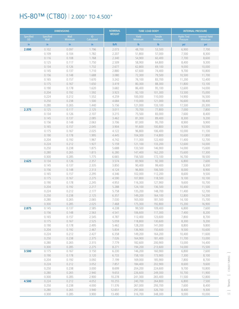## HS-80™ (CT80) | 2.000" TO 4.500"

|                               | <b>DIMENSIONS</b> |                        |                  | <b>NOMINAL</b><br><b>WEIGHT</b> |                                | <b>TUBE LOAD BODY</b>            | <b>INTERNAL PRESSURE</b>      |                                         |
|-------------------------------|-------------------|------------------------|------------------|---------------------------------|--------------------------------|----------------------------------|-------------------------------|-----------------------------------------|
| <b>Specified</b><br><b>OD</b> | Specified<br>Wall | Wall<br><b>Minimum</b> | ID<br>Calculated |                                 | <b>Yield</b><br><b>Minimum</b> | <b>Tensile</b><br><b>Minimum</b> | <b>Hydro Test</b><br>Pressure | <b>Internal Yield</b><br><b>Minimum</b> |
| in                            | in.               | in                     | in.              | I <sub>b</sub> /ft              | $\mathsf{lb}$                  | $\mathsf{lb}$                    | psi                           | psi                                     |
| 2.000                         | 0.102             | 0.097                  | 1.796            | 2.073                           | 48,700                         | 53,500                           | 6,900                         | 7,700                                   |
|                               | 0.109             | 0.104                  | 1.782            | 2.207                           | 51,800                         | 57,000                           | 7,500                         | 8,300                                   |
|                               | 0.116             | 0.108                  | 1.768            | 2.340                           | 54,900                         | 60,400                           | 7,700                         | 8,600                                   |
|                               | 0.125             | 0.117                  | 1.750            | 2.509                           | 58,900                         | 64,800                           | 8,400                         | 9,300                                   |
|                               | 0.134             | 0.126                  | 1.732            | 2.677                           | 62,800                         | 69,100                           | 9,000                         | 10,000                                  |
|                               | 0.145             | 0.137                  | 1.710            | 2.880                           | 67,600                         | 74,400                           | 9,700                         | 10,800                                  |
|                               | 0.156             | 0.148                  | 1.688            | 3.080                           | 72,300                         | 79,500                           | 10,500                        | 11,700                                  |
|                               | 0.165             | 0.157                  | 1.670            | 3.242                           | 76,100                         | 83,700                           | 11,200                        | 12,400                                  |
|                               | 0.175             | 0.167                  | 1.650            | 3.419                           | 80,300                         | 88,300                           | 11,800                        | 13,100                                  |
|                               | 0.190             | 0.178                  | 1.620            | 3.682                           | 86,400                         | 95,100                           | 12,600                        | 14,000                                  |
|                               | 0.204             | 0.192                  | 1.592            | 3.923                           | 92,100                         | 101,300                          | 13,500                        | 15,000                                  |
|                               | 0.224             | 0.212                  | 1.552            | 4.259                           | 100,000                        | 110,000                          | 14,900                        | 16,500                                  |
|                               | 0.250             | 0.238                  | 1.500            | 4.684                           | 110,000                        | 121,000                          | 16,600                        | 18,400                                  |
|                               | 0.280             | 0.265                  | 1.440            | 5.156                           | 121,000                        | 133,100                          | 17,500                        | 20,300                                  |
| 2.375                         | 0.125             | 0.117                  | 2.125            | 3.011                           | 70,700                         | 77,800                           | 7,000                         | 7,800                                   |
|                               | 0.134             | 0.126                  | 2.107            | 3.215                           | 75,500                         | 83,000                           | 7,600                         | 8,400                                   |
|                               | 0.145             | 0.137                  | 2.085            | 3.462                           | 81,300                         | 89,400                           | 8,300                         | 9,200                                   |
|                               | 0.156             | 0.148                  | 2.063            | 3.706                           | 87,000                         | 95,700                           | 8,900                         | 9,900                                   |
|                               | 0.165             | 0.157                  | 2.045            | 3.904                           | 91,600                         | 100,800                          | 9,500                         | 10,500                                  |
|                               | 0.175             | 0.167                  | 2.025            | 4.122                           | 96,800                         | 106,400                          | 10,000                        | 11,100                                  |
|                               | 0.190             | 0.178                  | 1.995            | 4.445                           | 104,300                        | 114,800                          | 10,600                        | 11,800                                  |
|                               | 0.204             | 0.192                  | 1.967            | 4.742                           | 111,300                        | 122,400                          | 11,400                        | 12,700                                  |
|                               | 0.224             | 0.212                  | 1.927            | 5.159                           | 121,100                        | 133,200                          | 12,600                        | 14,000                                  |
|                               | 0.250             | 0.238                  | 1.875            | 5.688                           | 133,500                        | 146,900                          | 14,000                        | 15,600                                  |
|                               | 0.280             | 0.265                  | 1.815            | 6.280                           | 147,400                        | 162,200                          | 15,600                        | 17,300                                  |
|                               | 0.300             | 0.285                  | 1.775            | 6.665                           | 156,500                        | 172,100                          | 16,700                        | 18,500                                  |
| 2.625                         | 0.134             | 0.126                  | 2.357            | 3.574                           | 83,900                         | 92,300                           | 6,800                         | 7,600                                   |
|                               | 0.145<br>0.156    | 0.137<br>0.148         | 2.335<br>2.313   | 3.850<br>4.124                  | 90,400                         | 99,400                           | 7,500                         | 8,300                                   |
|                               |                   | 0.157                  | 2.295            | 4.346                           | 96,800                         | 106,500                          | 8,000                         | 8,900                                   |
|                               | 0.165<br>0.175    | 0.167                  | 2.275            | 4.590                           | 102,000<br>107,800             | 112,200<br>118,500               | 8,600<br>9,100                | 9,500<br>10,100                         |
|                               | 0.190             | 0.178                  | 2.245            | 4.953                           | 116,300                        | 127,900                          | 9,600                         | 10,700                                  |
|                               | 0.204             | 0.192                  | 2.217            | 5.288                           | 124,100                        | 136,500                          | 10,400                        | 11,500                                  |
|                               | 0.224             | 0.212                  | 2.177            | 5.758                           | 135,200                        | 148,700                          | 11,400                        | 12,700                                  |
|                               | 0.250             | 0.238                  | 2.125            | 6.357                           | 149,200                        | 164,100                          | 12,800                        | 14,200                                  |
|                               | 0.280             | 0.265                  | 2.065            | 7.030                           | 165,000                        | 181,500                          | 14,100                        | 15,700                                  |
|                               | 0.300             | 0.285                  | 2.025            | 7.468                           | 175,300                        | 192,800                          | 15,200                        | 16,900                                  |
| 2.875                         | 0.145             | 0.137                  | 2.585            | 4.238                           | 99,500                         | 109,400                          | 6,800                         | 7,600                                   |
|                               | 0.156             | 0.148                  | 2.563            | 4.541                           | 106,600                        | 117,300                          | 7,400                         | 8,200                                   |
|                               | 0.165             | 0.157                  | 2.545            | 4.787                           | 112,400                        | 123,600                          | 7,800                         | 8,700                                   |
|                               | 0.175             | 0.167                  | 2.525            | 5.059                           | 118,800                        | 130,600                          | 8,300                         | 9,200                                   |
|                               | 0.190             | 0.178                  | 2.495            | 5.462                           | 128,200                        | 141,000                          | 8,800                         | 9,800                                   |
|                               | 0.204             | 0.192                  | 2.467            | 5.834                           | 136,900                        | 150,600                          | 9,500                         | 10,600                                  |
|                               | 0.224             | 0.212                  | 2.427            | 6.358                           | 149,200                        | 164,200                          | 10,400                        | 11,600                                  |
|                               | 0.250             | 0.238                  | 2.375            | 7.026                           | 164,900                        | 181,400                          | 11,700                        | 13,000                                  |
|                               | 0.280             | 0.265                  | 2.315            | 7.779                           | 182,600                        | 200,900                          | 13,000                        | 14,400                                  |
|                               | 0.300             | 0.285                  | 2.275            | 8.271                           | 194,200                        | 213,600                          | 14,000                        | 15,500                                  |
| 3.500                         | 0.175             | 0.167                  | 3.150            | 6.230                           | 146,200                        | 160,900                          | 6,800                         | 7,600                                   |
|                               | 0.190             | 0.178                  | 3.120            | 6.733                           | 158,100                        | 173,900                          | 7,300                         | 8,100                                   |
|                               | 0.204             | 0.192                  | 3.092            | 7.199                           | 169,000                        | 185,900                          | 7,800                         | 8,700                                   |
|                               | 0.224             | 0.212                  | 3.052            | 7.857                           | 184,400                        | 202,900                          | 8,600                         | 9,600                                   |
|                               | 0.250             | 0.238                  | 3.000            | 8.699                           | 204,200                        | 224,600                          | 9,700                         | 10,800                                  |
|                               | 0.280             | 0.265                  | 2.940            | 9.653                           | 226,600                        | 249,300                          | 10,700                        | 11,900                                  |
|                               | 0.300             | 0.285                  | 2.900            | 10.278                          | 241,300                        | 265,400                          | 11,500                        | 12,800                                  |
| 4.500                         | 0.224             | 0.212                  | 4.052            | 10.255                          | 240,700                        | 264,800                          | 6,800                         | 7,500                                   |
|                               | 0.250             | 0.238                  | 4.000            | 11.376                          | 267,000                        | 293,700                          | 7,600                         | 8,400                                   |
|                               | 0.280             | 0.265                  | 3.940            | 12.651                          | 297,000                        | 326,700                          | 8,400                         | 9,300                                   |
|                               | 0.300             | 0.285                  | 3.900            | 13.490                          | 316,700                        | 348,300                          | 9,000                         | 10,000                                  |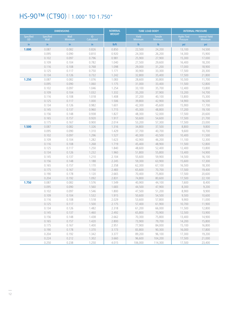## HS-90™ (CT90) | 1.000" TO 1.750"

|                               |                          | <b>DIMENSIONS</b>      |                   | <b>NOMINAL</b>     |                                | <b>TUBE LOAD BODY</b>     |                                      | <b>INTERNAL PRESSURE</b>                |
|-------------------------------|--------------------------|------------------------|-------------------|--------------------|--------------------------------|---------------------------|--------------------------------------|-----------------------------------------|
| <b>Specified</b><br><b>OD</b> | <b>Specified</b><br>Wall | Wall<br><b>Minimum</b> | ID.<br>Calculated | <b>WEIGHT</b>      | <b>Yield</b><br><b>Minimum</b> | Tensile<br><b>Minimum</b> | <b>Hydro Test</b><br><b>Pressure</b> | <b>Internal Yield</b><br><b>Minimum</b> |
| in.                           | in                       | in.                    | in.               | I <sub>b</sub> /ft | $\mathsf{lb}$                  | $\mathsf{lb}$             | psi                                  | psi                                     |
| 1.000                         | 0.087                    | 0.082                  | 0.826             | 0.850              | 22,500                         | 24,200                    | 13,100                               | 14,500                                  |
|                               | 0.095                    | 0.090                  | 0.810             | 0.920              | 24,300                         | 26,200                    | 14,300                               | 15,900                                  |
|                               | 0.102                    | 0.097                  | 0.796             | 0.981              | 25,900                         | 27,900                    | 15,300                               | 17,000                                  |
|                               | 0.109                    | 0.104                  | 0.782             | 1.040              | 27,500                         | 29,600                    | 16,400                               | 18,200                                  |
|                               | 0.116                    | 0.108                  | 0.768             | 1.098              | 29,000                         | 31,200                    | 17,000                               | 18,900                                  |
|                               | 0.125                    | 0.117                  | 0.750             | 1.171              | 30,900                         | 33,300                    | 17,500                               | 20,300                                  |
|                               | 0.134                    | 0.126                  | 0.732             | 1.242              | 32,800                         | 35,400                    | 17,500                               | 21,800                                  |
| 1.250                         | 0.087                    | 0.082                  | 1.076             | 1.083              | 28,600                         | 30,800                    | 10,500                               | 11,700                                  |
|                               | 0.095                    | 0.090                  | 1.060             | 1.175              | 31,000                         | 33,400                    | 11,500                               | 12,800                                  |
|                               | 0.102                    | 0.097                  | 1.046             | 1.254              | 33,100                         | 35,700                    | 12,400                               | 13,800                                  |
|                               | 0.109                    | 0.104                  | 1.032             | 1.332              | 35,200                         | 37,900                    | 13,200                               | 14,700                                  |
|                               | 0.116                    | 0.108                  | 1.018             | 1.408              | 37,200                         | 40,100                    | 13,800                               | 15,300                                  |
|                               | 0.125                    | 0.117                  | 1.000             | 1.506              | 39,800                         | 42,900                    | 14,900                               | 16,500                                  |
|                               | 0.134                    | 0.126                  | 0.982             | 1.601              | 42,300                         | 45,600                    | 15,900                               | 17,700                                  |
|                               | 0.145                    | 0.137                  | 0.960             | 1.715              | 45,300                         | 48,800                    | 17,200                               | 19,100                                  |
|                               | 0.156                    | 0.148                  | 0.938             | 1.827              | 48,300                         | 52,000                    | 17,500                               | 20,600                                  |
|                               | 0.165                    | 0.157                  | 0.920             | 1.917              | 50,600                         | 54,600                    | 17,500                               | 21,700                                  |
|                               | 0.175                    | 0.167                  | 0.900             | 2.014              | 53,200                         | 57,300                    | 17,500                               | 23,000                                  |
| 1.500                         | 0.087                    | 0.082                  | 1.326             | 1.316              | 34,800                         | 37,500                    | 8,800                                | 9,800                                   |
|                               | 0.095                    | 0.090                  | 1.310             | 1.429              | 37,700                         | 40,700                    | 9,600                                | 10,700                                  |
|                               | 0.102                    | 0.097                  | 1.296             | 1.527              | 40,300                         | 43,500                    | 10,400                               | 11,500                                  |
|                               | 0.109                    | 0.104                  | 1.282             | 1.623              | 42,900                         | 46,200                    | 11,100                               | 12,300                                  |
|                               | 0.116                    | 0.108                  | 1.268             | 1.719              | 45,400                         | 48,900                    | 11,500                               | 12,800                                  |
|                               | 0.125                    | 0.117                  | 1.250             | 1.840              | 48,600                         | 52,400                    | 12,400                               | 13,800                                  |
|                               | 0.134                    | 0.126                  | 1.232             | 1.960              | 51,800                         | 55,800                    | 13,400                               | 14,900                                  |
|                               | 0.145                    | 0.137                  | 1.210             | 2.104              | 55,600                         | 59,900                    | 14,500                               | 16,100                                  |
|                               | 0.156                    | 0.148                  | 1.188             | 2.245              | 59,300                         | 63,900                    | 15,600                               | 17,300                                  |
|                               | 0.165                    | 0.157                  | 1.170             | 2.358              | 62,300                         | 67,100                    | 16,500                               | 18,300                                  |
|                               | 0.175                    | 0.167                  | 1.150             | 2.483              | 65,600                         | 70,700                    | 17,500                               | 19,400                                  |
|                               | 0.190                    | 0.178                  | 1.120             | 2.665              | 70,400                         | 75,800                    | 17,500                               | 20,600                                  |
|                               | 0.204                    | 0.192                  | 1.092             | 2.831              | 74,800                         | 80,600                    | 17,500                               | 22,100                                  |
| 1.750                         | 0.087                    | 0.082                  | 1.576             | 1.549              | 40,900                         | 44,100                    | 7,600                                | 8,400                                   |
|                               | 0.095                    | 0.090                  | 1.560             | 1.683              | 44,500                         | 47,900                    | 8,300                                | 9,200                                   |
|                               | 0.102                    | 0.097                  | 1.546             | 1.800              | 47,500                         | 51,200                    | 8,900                                | 9,900                                   |
|                               | 0.109                    | 0.104                  | 1.532             | 1.915              | 50,600                         | 54,500                    | 9,500                                | 10,600                                  |
|                               | 0.116                    | 0.108                  | 1.518             | 2.029              | 53,600                         | 57,800                    | 9,900                                | 11,000                                  |
|                               | 0.125                    | 0.117                  | 1.500             | 2.175              | 57,400                         | 61,900                    | 10,700                               | 11,900                                  |
|                               | 0.134                    | 0.126                  | 1.482             | 2.318              | 61,200                         | 66,000                    | 11,500                               | 12,800                                  |
|                               | 0.145                    | 0.137                  | 1.460             | 2.492              | 65,800                         | 70,900                    | 12,500                               | 13,900                                  |
|                               | 0.156                    | 0.148                  | 1.438             | 2.662              | 70,300                         | 75,800                    | 13,400                               | 14,900                                  |
|                               | 0.165                    | 0.157                  | 1.420             | 2.800              | 73,900                         | 79,700                    | 14,200                               | 15,800                                  |
|                               | 0.175                    | 0.167                  | 1.400             | 2.951              | 77,900                         | 84,000                    | 15,100                               | 16,800                                  |
|                               | 0.190                    | 0.178                  | 1.370             | 3.173              | 83,800                         | 90,300                    | 16,000                               | 17,800                                  |
|                               | 0.204                    | 0.192                  | 1.342             | 3.377              | 89,200                         | 96,100                    | 17,300                               | 19,200                                  |
|                               | 0.224                    | 0.212                  | 1.302             | 3.660              | 96,600                         | 104,200                   | 17,500                               | 21,000                                  |
|                               | 0.250                    | 0.238                  | 1.250             | 4.015              | 106,000                        | 114,300                   | 17,500                               | 23,400                                  |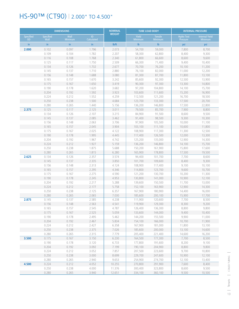## HS-90™ (CT90) | 2.000" TO 4.500"

|                               |                          | <b>DIMENSIONS</b> |                  | <b>NOMINAL</b>     |                                | <b>TUBE LOAD BODY</b>            |                               | <b>INTERNAL PRESSURE</b>                |
|-------------------------------|--------------------------|-------------------|------------------|--------------------|--------------------------------|----------------------------------|-------------------------------|-----------------------------------------|
| <b>Specified</b><br><b>OD</b> | <b>Specified</b><br>Wall | Wall<br>Minimum   | ID<br>Calculated | <b>WEIGHT</b>      | <b>Yield</b><br><b>Minimum</b> | <b>Tensile</b><br><b>Minimum</b> | <b>Hydro Test</b><br>Pressure | <b>Internal Yield</b><br><b>Minimum</b> |
| in                            | in.                      | in                | in               | I <sub>b</sub> /ft | $\mathsf{lb}$                  | $\mathsf{lb}$                    | psi                           | psi                                     |
| 2.000                         | 0.102                    | 0.097             | 1.796            | 2.073              | 54,700                         | 59,000                           | 7,800                         | 8,700                                   |
|                               | 0.109                    | 0.104             | 1.782            | 2.207              | 58,300                         | 62,800                           | 8,400                         | 9,300                                   |
|                               | 0.116                    | 0.108             | 1.768            | 2.340              | 61,800                         | 66,600                           | 8,600                         | 9,600                                   |
|                               | 0.125                    | 0.117             | 1.750            | 2.509              | 66,300                         | 71,400                           | 9,400                         | 10,400                                  |
|                               | 0.134                    | 0.126             | 1.732            | 2.677              | 70,700                         | 76,200                           | 10,100                        | 11,200                                  |
|                               | 0.145                    | 0.137             | 1.710            | 2.880              | 76,100                         | 82,000                           | 11,000                        | 12,200                                  |
|                               | 0.156                    | 0.148             | 1.688            | 3.080              | 81,300                         | 87,700                           | 11,800                        | 13,100                                  |
|                               | 0.165                    | 0.157             | 1.670            | 3.242              | 85,600                         | 92,300                           | 12,500                        | 13,900                                  |
|                               | 0.175                    | 0.167             | 1.650            | 3.419              | 90,300                         | 97,300                           | 13,300                        | 14,800                                  |
|                               | 0.190                    | 0.178             | 1.620            | 3.682              | 97,200                         | 104,800                          | 14,100                        | 15,700                                  |
|                               | 0.204                    | 0.192             | 1.592            | 3.923              | 103,600                        | 111,600                          | 15,200                        | 16,900                                  |
|                               | 0.224                    | 0.212             | 1.552            | 4.259              | 112,500                        | 121,200                          | 16,700                        | 18,500                                  |
|                               | 0.250                    | 0.238             | 1.500            | 4.684              | 123,700                        | 133,300                          | 17,500                        | 20,700                                  |
|                               | 0.280                    | 0.265             | 1.440            | 5.156              | 136,200                        | 146,800                          | 17,500                        | 22,800                                  |
| 2.375                         | 0.125                    | 0.117             | 2.125            | 3.011              | 79,500                         | 85,700                           | 7,900                         | 8,800                                   |
|                               | 0.134                    | 0.126<br>0.137    | 2.107<br>2.085   | 3.215<br>3.462     | 84,900                         | 91,500                           | 8,600                         | 9,500                                   |
|                               | 0.145                    | 0.148             | 2.063            |                    | 91,400                         | 98,500                           | 9,300                         | 10,300                                  |
|                               | 0.156<br>0.165           | 0.157             | 2.045            | 3.706<br>3.904     | 97,900<br>103,100              | 105,500<br>111,100               | 10,000<br>10,600              | 11,100<br>11,800                        |
|                               | 0.175                    | 0.167             | 2.025            | 4.122              | 108,900                        | 117,300                          | 11,300                        | 12,500                                  |
|                               | 0.190                    | 0.178             | 1.995            | 4.445              | 117,400                        | 126,500                          | 12,000                        | 13,300                                  |
|                               | 0.204                    | 0.192             | 1.967            | 4.742              | 125,200                        | 135,000                          | 12,900                        | 14,300                                  |
|                               | 0.224                    | 0.212             | 1.927            | 5.159              | 136,200                        | 146,800                          | 14,100                        | 15,700                                  |
|                               | 0.250                    | 0.238             | 1.875            | 5.688              | 150,200                        | 161,900                          | 15,800                        | 17,600                                  |
|                               | 0.280                    | 0.265             | 1.815            | 6.280              | 165,900                        | 178,800                          | 17,500                        | 19,500                                  |
| 2.625                         | 0.134                    | 0.126             | 2.357            | 3.574              | 94,400                         | 101,700                          | 7,700                         | 8,600                                   |
|                               | 0.145                    | 0.137             | 2.335            | 3.850              | 101,700                        | 109,600                          | 8,400                         | 9,300                                   |
|                               | 0.156                    | 0.148             | 2.313            | 4.124              | 108,900                        | 117,400                          | 9,100                         | 10,100                                  |
|                               | 0.165                    | 0.157             | 2.295            | 4.346              | 114,800                        | 123,700                          | 9,600                         | 10,700                                  |
|                               | 0.175                    | 0.167             | 2.275            | 4.590              | 121,200                        | 130,700                          | 10,200                        | 11,300                                  |
|                               | 0.190                    | 0.178             | 2.245            | 4.953              | 130,800                        | 141,000                          | 10,900                        | 12,100                                  |
|                               | 0.204                    | 0.192             | 2.217            | 5.288              | 139,600                        | 150,500                          | 11,700                        | 13,000                                  |
|                               | 0.224                    | 0.212             | 2.177            | 5.758              | 152,100                        | 163,900                          | 12,900                        | 14,300                                  |
|                               | 0.250                    | 0.238             | 2.125            | 6.357              | 167,900                        | 180,900                          | 14,400                        | 16,000                                  |
|                               | 0.280                    | 0.265             | 2.065            | 7.030              | 185,600                        | 200,100                          | 15,900                        | 17,700                                  |
| 2.875                         | 0.145                    | 0.137             | 2.585            | 4.238              | 111,900                        | 120,600                          | 7,700                         | 8,500                                   |
|                               | 0.156                    | 0.148             | 2.563            | 4.541              | 119,900                        | 129,300                          | 8,300                         | 9,200                                   |
|                               | 0.165                    | 0.157             | 2.545            | 4.787              | 126,400                        | 136,300                          | 8,800                         | 9,800                                   |
|                               | 0.175                    | 0.167             | 2.525            | 5.059              | 133,600                        | 144,000                          | 9,400                         | 10,400                                  |
|                               | 0.190                    | 0.178             | 2.495            | 5.462              | 144,200                        | 155,500                          | 9,900                         | 11,000                                  |
|                               | 0.204                    | 0.192             | 2.467            | 5.834              | 154,100                        | 166,000                          | 10,700                        | 11,900                                  |
|                               | 0.224                    | 0.212             | 2.427            | 6.358              | 167,900                        | 181,000                          | 11,800                        | 13,100                                  |
|                               | 0.250                    | 0.238             | 2.375            | 7.026              | 185,600                        | 200,000                          | 13,100                        | 14,600                                  |
|                               | 0.280                    | 0.265             | 2.315            | 7.779              | 205,400                        | 221,400                          | 14,600                        | 16,200                                  |
| 3.500                         | 0.175                    | 0.167             | 3.150            | 6.230              | 164,500                        | 177,300                          | 7,700                         | 8,500                                   |
|                               | 0.190<br>0.204           | 0.178<br>0.192    | 3.120<br>3.092   | 6.733<br>7.199     | 177,800<br>190,100             | 191,600<br>204,900               | 8,200<br>8,800                | 9,100<br>9,800                          |
|                               | 0.224                    | 0.212             | 3.052            | 7.857              | 207,500                        | 223,600                          | 9,700                         | 10,800                                  |
|                               | 0.250                    | 0.238             | 3.000            | 8.699              | 229,700                        | 247,600                          | 10,900                        | 12,100                                  |
|                               | 0.280                    | 0.265             | 2.940            | 9.653              | 254,900                        | 274,700                          | 12,100                        | 13,400                                  |
| 4.500                         | 0.224                    | 0.212             | 4.052            | 10.255             | 270,800                        | 291,900                          | 7,600                         | 8,400                                   |
|                               | 0.250                    | 0.238             | 4.000            | 11.376             | 300,400                        | 323,800                          | 8,600                         | 9,500                                   |
|                               | 0.280                    | 0.265             | 3.940            | 12.651             | 334,100                        | 360,100                          | 9,500                         | 10,500                                  |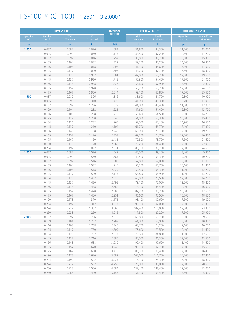## HS-100™ (CT100) | 1.250" TO 2.000"

|                               |                          | <b>DIMENSIONS</b> |                  | <b>NOMINAL</b> |                                | <b>TUBE LOAD BODY</b>     |                               | <b>INTERNAL PRESSURE</b>                |
|-------------------------------|--------------------------|-------------------|------------------|----------------|--------------------------------|---------------------------|-------------------------------|-----------------------------------------|
| <b>Specified</b><br><b>OD</b> | <b>Specified</b><br>Wall | Wall<br>Minimum   | ID<br>Calculated | <b>WEIGHT</b>  | <b>Yield</b><br><b>Minimum</b> | Tensile<br><b>Minimum</b> | <b>Hydro Test</b><br>Pressure | <b>Internal Yield</b><br><b>Minimum</b> |
| in.                           | in.                      | in                | in               | lb/ft          | $\mathsf{lb}$                  | $\mathsf{lb}$             | psi                           | psi                                     |
| 1.250                         | 0.087                    | 0.082             | 1.076            | 1.083          | 31,800                         | 34,300                    | 11,700                        | 13,000                                  |
|                               | 0.095                    | 0.090             | 1.060            | 1.175          | 34,500                         | 37,200                    | 12,800                        | 14,200                                  |
|                               | 0.102                    | 0.097             | 1.046            | 1.254          | 36,800                         | 39,700                    | 13,800                        | 15,300                                  |
|                               | 0.109                    | 0.104             | 1.032            | 1.332          | 39,100                         | 42,200                    | 14,700                        | 16,300                                  |
|                               | 0.116                    | 0.108             | 1.018            | 1.408          | 41,300                         | 44,600                    | 15,300                        | 17,000                                  |
|                               | 0.125                    | 0.117             | 1.000            | 1.506          | 44,200                         | 47,700                    | 16,500                        | 18,300                                  |
|                               | 0.134                    | 0.126             | 0.982            | 1.601          | 47,000                         | 50,700                    | 17,500                        | 19,600                                  |
|                               | 0.145                    | 0.137             | 0.960            | 1.715          | 50,300                         | 54,400                    | 17,500                        | 21,300                                  |
|                               | 0.156                    | 0.148             | 0.938            | 1.827          | 53,600                         | 57,900                    | 17,500                        | 22,800                                  |
|                               | 0.165                    | 0.157             | 0.920            | 1.917          | 56,200                         | 60,700                    | 17,500                        | 24,100                                  |
|                               | 0.175                    | 0.167             | 0.900            | 2.014          | 59,100                         | 63,800                    | 17,500                        | 25,500                                  |
| 1.500                         | 0.087                    | 0.082             | 1.326            | 1.316          | 38,600                         | 41,700                    | 9,800                         | 10,900                                  |
|                               | 0.095                    | 0.090             | 1.310            | 1.429          | 41,900                         | 45,300                    | 10,700                        | 11,900                                  |
|                               | 0.102                    | 0.097             | 1.296            | 1.527          | 44,800                         | 48,400                    | 11,500                        | 12,800                                  |
|                               | 0.109<br>0.116           | 0.104<br>0.108    | 1.282<br>1.268   | 1.623<br>1.719 | 47,600<br>50,400               | 51,400<br>54,500          | 12,300<br>12,800              | 13,700<br>14,200                        |
|                               | 0.125                    | 0.117             | 1.250            | 1.840          | 54,000                         | 58,300                    | 13,900                        | 15,400                                  |
|                               | 0.134                    | 0.126             | 1.232            | 1.960          | 57,500                         | 62,100                    | 14,900                        | 16,500                                  |
|                               | 0.145                    | 0.137             | 1.210            | 2.104          | 61,700                         | 66,700                    | 16,100                        | 17,900                                  |
|                               | 0.156                    | 0.148             | 1.188            | 2.245          | 65,900                         | 71,100                    | 17,300                        | 19,200                                  |
|                               | 0.165                    | 0.157             | 1.170            | 2.358          | 69,200                         | 74,700                    | 17,500                        | 20,400                                  |
|                               | 0.175                    | 0.167             | 1.150            | 2.483          | 72,800                         | 78,700                    | 17,500                        | 21,600                                  |
|                               | 0.190                    | 0.178             | 1.120            | 2.665          | 78,200                         | 84,400                    | 17,500                        | 22,900                                  |
|                               | 0.204                    | 0.192             | 1.092            | 2.831          | 83,100                         | 89,700                    | 17,500                        | 24,600                                  |
| 1.750                         | 0.087                    | 0.082             | 1.576            | 1.549          | 45,500                         | 49,100                    | 8,400                         | 9,300                                   |
|                               | 0.095                    | 0.090             | 1.560            | 1.683          | 49,400                         | 53,300                    | 9,200                         | 10,200                                  |
|                               | 0.102                    | 0.097             | 1.546            | 1.800          | 52,800                         | 57,000                    | 9,900                         | 11,000                                  |
|                               | 0.109                    | 0.104             | 1.532            | 1.915          | 56,200                         | 60,700                    | 10,600                        | 11,800                                  |
|                               | 0.116                    | 0.108             | 1.518            | 2.029          | 59,500                         | 64,300                    | 11,000                        | 12,200                                  |
|                               | 0.125                    | 0.117             | 1.500            | 2.175          | 63,800                         | 68,900                    | 11,900                        | 13,200                                  |
|                               | 0.134                    | 0.126             | 1.482            | 2.318          | 68,000                         | 73,500                    | 12,800                        | 14,200                                  |
|                               | 0.145                    | 0.137             | 1.460            | 2.492          | 73,100                         | 79,000                    | 13,900                        | 15,400                                  |
|                               | 0.156                    | 0.148             | 1.438            | 2.662          | 78,100                         | 84,400                    | 14,900                        | 16,600                                  |
|                               | 0.165                    | 0.157             | 1.420            | 2.800          | 82,200                         | 88,700                    | 15,800                        | 17,600                                  |
|                               | 0.175                    | 0.167             | 1.400            | 2.951          | 86,600                         | 93,500                    | 16,700                        | 18,600                                  |
|                               | 0.190                    | 0.178             | 1.370            | 3.173          | 93,100                         | 100,600                   | 17,500                        | 19,800                                  |
|                               | 0.204                    | 0.192             | 1.342            | 3.377          | 99,100                         | 107,000                   | 17,500                        | 21,300                                  |
|                               | 0.224                    | 0.212             | 1.302            | 3.660          | 107,400                        | 116,000                   | 17,500                        | 23,300                                  |
| 2.000                         | 0.250<br>0.102           | 0.238<br>0.097    | 1.250<br>1.796   | 4.015<br>2.073 | 117,800<br>60,800              | 127,200<br>65,700         | 17,500<br>8,600               | 25,900<br>9,600                         |
|                               | 0.109                    | 0.104             | 1.782            | 2.207          | 64,800                         | 69,900                    | 9,300                         | 10,300                                  |
|                               | 0.116                    | 0.108             | 1.768            | 2.340          | 68,700                         | 74,200                    | 9,600                         | 10,700                                  |
|                               | 0.125                    | 0.117             | 1.750            | 2.509          | 73,600                         | 79,500                    | 10,400                        | 11,600                                  |
|                               | 0.134                    | 0.126             | 1.732            | 2.677          | 78,600                         | 84,800                    | 11,300                        | 12,500                                  |
|                               | 0.145                    | 0.137             | 1.710            | 2.880          | 84,500                         | 91,300                    | 12,200                        | 13,500                                  |
|                               | 0.156                    | 0.148             | 1.688            | 3.080          | 90,400                         | 97,600                    | 13,100                        | 14,600                                  |
|                               | 0.165                    | 0.157             | 1.670            | 3.242          | 95,100                         | 102,700                   | 14,000                        | 15,500                                  |
|                               | 0.175                    | 0.167             | 1.650            | 3.419          | 100,300                        | 108,400                   | 14,800                        | 16,400                                  |
|                               | 0.190                    | 0.178             | 1.620            | 3.682          | 108,000                        | 116,700                   | 15,700                        | 17,400                                  |
|                               | 0.204                    | 0.192             | 1.592            | 3.923          | 115,100                        | 124,300                   | 16,900                        | 18,800                                  |
|                               | 0.224                    | 0.212             | 1.552            | 4.259          | 125,000                        | 135,000                   | 17,500                        | 20,600                                  |
|                               | 0.250                    | 0.238             | 1.500            | 4.684          | 137,400                        | 148,400                   | 17,500                        | 23,000                                  |
|                               | 0.280                    | 0.265             | 1.440            | 5.156          | 151,300                        | 163,400                   | 17,500                        | 25,300                                  |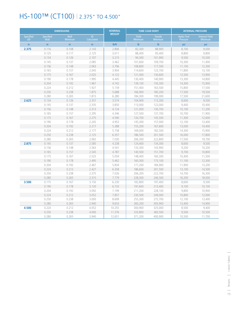## HS-100™ (CT100) | 2.375" TO 4.500"

|                               |                   | <b>DIMENSIONS</b>      |                  | <b>NOMINAL</b>     |                  | <b>TUBE LOAD BODY</b>     |        | <b>INTERNAL PRESSURE</b><br><b>Internal Yield</b><br><b>Hydro Test</b><br>Pressure<br><b>Minimum</b><br>psi<br>psi<br>9,000<br>8,100<br>9,800<br>8,800<br>9,500<br>10,500<br>10,300<br>11,400<br>11,100<br>12,300<br>11,800<br>13,100<br>12,500<br>13,900<br>13,300<br>14,800<br>14,300<br>15,900<br>15,800<br>17,500<br>17,500<br>19,500<br>17,500<br>21,600<br>8,600<br>9,500<br>9,400<br>10,400<br>10,100<br>11,200<br>11,900<br>10,700<br>11,300<br>12,600<br>12,100<br>13,400<br>13,000<br>14,400<br>14,300<br>15,900<br>16,000<br>17,800<br>17,500<br>19,700<br>9,500<br>8,600<br>9,200<br>10,200<br>9,700<br>10,800<br>10,400<br>11,500<br>11,100<br>12,300<br>11,900<br>13,200<br>13,100<br>14,500<br>14,700<br>16,300<br>16,200<br>18,000<br>8,600<br>9,500<br>9,100<br>10,100<br>9,800<br>10,900<br>12,000<br>10,800<br>13,400<br>12,100<br>13,400<br>14,900 |  |
|-------------------------------|-------------------|------------------------|------------------|--------------------|------------------|---------------------------|--------|------------------------------------------------------------------------------------------------------------------------------------------------------------------------------------------------------------------------------------------------------------------------------------------------------------------------------------------------------------------------------------------------------------------------------------------------------------------------------------------------------------------------------------------------------------------------------------------------------------------------------------------------------------------------------------------------------------------------------------------------------------------------------------------------------------------------------------------------------------------------|--|
| <b>Specified</b><br><b>OD</b> | Specified<br>Wall | Wall<br><b>Minimum</b> | ID<br>Calculated | <b>WEIGHT</b>      | Yield<br>Minimum | <b>Tensile</b><br>Minimum |        |                                                                                                                                                                                                                                                                                                                                                                                                                                                                                                                                                                                                                                                                                                                                                                                                                                                                        |  |
| in.                           | in.               | in                     | in               | I <sub>b</sub> /ft | $\mathsf{lb}$    | $\mathsf{lb}$             |        |                                                                                                                                                                                                                                                                                                                                                                                                                                                                                                                                                                                                                                                                                                                                                                                                                                                                        |  |
| 2.375                         | 0.116             | 0.108                  | 2.143            | 2.806              | 82,300           | 88,900                    |        |                                                                                                                                                                                                                                                                                                                                                                                                                                                                                                                                                                                                                                                                                                                                                                                                                                                                        |  |
|                               | 0.125             | 0.117                  | 2.125            | 3.011              | 88,400           | 95,400                    |        |                                                                                                                                                                                                                                                                                                                                                                                                                                                                                                                                                                                                                                                                                                                                                                                                                                                                        |  |
|                               | 0.134             | 0.126                  | 2.107            | 3.215              | 94,300           | 101,900                   |        |                                                                                                                                                                                                                                                                                                                                                                                                                                                                                                                                                                                                                                                                                                                                                                                                                                                                        |  |
|                               | 0.145             | 0.137                  | 2.085            | 3.462              | 101,600          | 109,700                   |        |                                                                                                                                                                                                                                                                                                                                                                                                                                                                                                                                                                                                                                                                                                                                                                                                                                                                        |  |
|                               | 0.156             | 0.148                  | 2.063            | 3.706              | 108,800          | 117,500                   |        |                                                                                                                                                                                                                                                                                                                                                                                                                                                                                                                                                                                                                                                                                                                                                                                                                                                                        |  |
|                               | 0.165             | 0.157                  | 2.045            | 3.904              | 114,600          | 123,700                   |        |                                                                                                                                                                                                                                                                                                                                                                                                                                                                                                                                                                                                                                                                                                                                                                                                                                                                        |  |
|                               | 0.175             | 0.167                  | 2.025            | 4.122              | 121,000          | 130,600                   |        |                                                                                                                                                                                                                                                                                                                                                                                                                                                                                                                                                                                                                                                                                                                                                                                                                                                                        |  |
|                               | 0.190             | 0.178                  | 1.995            | 4.445              | 130,400          | 140,900                   |        |                                                                                                                                                                                                                                                                                                                                                                                                                                                                                                                                                                                                                                                                                                                                                                                                                                                                        |  |
|                               | 0.204             | 0.192                  | 1.967            | 4.742              | 139,100          | 150,300                   |        |                                                                                                                                                                                                                                                                                                                                                                                                                                                                                                                                                                                                                                                                                                                                                                                                                                                                        |  |
|                               | 0.224             | 0.212                  | 1.927            | 5.159              | 151,400          | 163,500                   |        |                                                                                                                                                                                                                                                                                                                                                                                                                                                                                                                                                                                                                                                                                                                                                                                                                                                                        |  |
|                               | 0.250             | 0.238                  | 1.875            | 5.688              | 166,900          | 180,200                   |        |                                                                                                                                                                                                                                                                                                                                                                                                                                                                                                                                                                                                                                                                                                                                                                                                                                                                        |  |
|                               | 0.280             | 0.265                  | 1.815            | 6.280              | 184,300          | 199,000                   |        |                                                                                                                                                                                                                                                                                                                                                                                                                                                                                                                                                                                                                                                                                                                                                                                                                                                                        |  |
| 2.625                         | 0.134             | 0.126                  | 2.357            | 3.574              | 104,900          | 113,300                   |        |                                                                                                                                                                                                                                                                                                                                                                                                                                                                                                                                                                                                                                                                                                                                                                                                                                                                        |  |
|                               | 0.145             | 0.137                  | 2.335            | 3.850              | 113,000          | 122,000                   |        |                                                                                                                                                                                                                                                                                                                                                                                                                                                                                                                                                                                                                                                                                                                                                                                                                                                                        |  |
|                               | 0.156             | 0.148                  | 2.313            | 4.124              | 121,000          | 130,700                   |        |                                                                                                                                                                                                                                                                                                                                                                                                                                                                                                                                                                                                                                                                                                                                                                                                                                                                        |  |
|                               | 0.165             | 0.157                  | 2.295            | 4.346              | 127,500          | 137,700                   |        |                                                                                                                                                                                                                                                                                                                                                                                                                                                                                                                                                                                                                                                                                                                                                                                                                                                                        |  |
|                               | 0.175             | 0.167                  | 2.275            | 4.590              | 134,700          | 145,500                   |        |                                                                                                                                                                                                                                                                                                                                                                                                                                                                                                                                                                                                                                                                                                                                                                                                                                                                        |  |
|                               | 0.190             | 0.178                  | 2.245            | 4.953              | 145,300          | 157,000                   |        |                                                                                                                                                                                                                                                                                                                                                                                                                                                                                                                                                                                                                                                                                                                                                                                                                                                                        |  |
|                               | 0.204             | 0.192                  | 2.217            | 5.288              | 155,200          | 167,600                   |        |                                                                                                                                                                                                                                                                                                                                                                                                                                                                                                                                                                                                                                                                                                                                                                                                                                                                        |  |
|                               | 0.224             | 0.212                  | 2.177            | 5.758              | 169,000          | 182,500                   |        |                                                                                                                                                                                                                                                                                                                                                                                                                                                                                                                                                                                                                                                                                                                                                                                                                                                                        |  |
|                               | 0.250             | 0.238                  | 2.125            | 6.357              | 186,500          | 201,500                   |        |                                                                                                                                                                                                                                                                                                                                                                                                                                                                                                                                                                                                                                                                                                                                                                                                                                                                        |  |
|                               | 0.280             | 0.265                  | 2.065            | 7.030              | 206,300          | 222,800                   |        |                                                                                                                                                                                                                                                                                                                                                                                                                                                                                                                                                                                                                                                                                                                                                                                                                                                                        |  |
| 2.875                         | 0.145             | 0.137                  | 2.585            | 4.238              | 124,400          | 134,300                   |        |                                                                                                                                                                                                                                                                                                                                                                                                                                                                                                                                                                                                                                                                                                                                                                                                                                                                        |  |
|                               | 0.156             | 0.148                  | 2.563            | 4.541              | 133,300          | 143,900                   |        |                                                                                                                                                                                                                                                                                                                                                                                                                                                                                                                                                                                                                                                                                                                                                                                                                                                                        |  |
|                               | 0.165             | 0.157                  | 2.545            | 4.787              | 140,500          | 151,700                   |        |                                                                                                                                                                                                                                                                                                                                                                                                                                                                                                                                                                                                                                                                                                                                                                                                                                                                        |  |
|                               | 0.175             | 0.167                  | 2.525            | 5.059              | 148,400          | 160,300                   |        |                                                                                                                                                                                                                                                                                                                                                                                                                                                                                                                                                                                                                                                                                                                                                                                                                                                                        |  |
|                               | 0.190             | 0.178                  | 2.495            | 5.462              | 160,300          | 173,100                   |        |                                                                                                                                                                                                                                                                                                                                                                                                                                                                                                                                                                                                                                                                                                                                                                                                                                                                        |  |
|                               | 0.204             | 0.192                  | 2.467            | 5.834              | 171,200          | 184,900                   |        |                                                                                                                                                                                                                                                                                                                                                                                                                                                                                                                                                                                                                                                                                                                                                                                                                                                                        |  |
|                               | 0.224             | 0.212                  | 2.427            | 6.358              | 186,600          | 201,500                   |        |                                                                                                                                                                                                                                                                                                                                                                                                                                                                                                                                                                                                                                                                                                                                                                                                                                                                        |  |
|                               | 0.250             | 0.238                  | 2.375            | 7.026              | 206,200          | 222,700                   |        |                                                                                                                                                                                                                                                                                                                                                                                                                                                                                                                                                                                                                                                                                                                                                                                                                                                                        |  |
|                               | 0.280             | 0.265                  | 2.315            | 7.779              | 228,300          | 246,500                   |        |                                                                                                                                                                                                                                                                                                                                                                                                                                                                                                                                                                                                                                                                                                                                                                                                                                                                        |  |
| 3.500                         | 0.175             | 0.167                  | 3.150            | 6.230              | 182,800          | 197,400                   |        |                                                                                                                                                                                                                                                                                                                                                                                                                                                                                                                                                                                                                                                                                                                                                                                                                                                                        |  |
|                               | 0.190             | 0.178                  | 3.120            | 6.733              | 197,600          | 213,400                   |        |                                                                                                                                                                                                                                                                                                                                                                                                                                                                                                                                                                                                                                                                                                                                                                                                                                                                        |  |
|                               | 0.204             | 0.192                  | 3.092            | 7.199              | 211,200          | 228,100                   |        |                                                                                                                                                                                                                                                                                                                                                                                                                                                                                                                                                                                                                                                                                                                                                                                                                                                                        |  |
|                               | 0.224             | 0.212                  | 3.052            | 7.857              | 230,500          | 249,000                   |        |                                                                                                                                                                                                                                                                                                                                                                                                                                                                                                                                                                                                                                                                                                                                                                                                                                                                        |  |
|                               | 0.250             | 0.238                  | 3.000            | 8.699              | 255,300          | 275,700                   |        |                                                                                                                                                                                                                                                                                                                                                                                                                                                                                                                                                                                                                                                                                                                                                                                                                                                                        |  |
|                               | 0.280             | 0.265                  | 2.940            | 9.653              | 283,200          | 305,900                   |        |                                                                                                                                                                                                                                                                                                                                                                                                                                                                                                                                                                                                                                                                                                                                                                                                                                                                        |  |
| 4.500                         | 0.224             | 0.212                  | 4.052            | 10.255             | 300,900          | 325,000                   | 8,500  | 9,400                                                                                                                                                                                                                                                                                                                                                                                                                                                                                                                                                                                                                                                                                                                                                                                                                                                                  |  |
|                               | 0.250             | 0.238                  | 4.000            | 11.376             | 333,800          | 360,500                   | 9,500  | 10,500                                                                                                                                                                                                                                                                                                                                                                                                                                                                                                                                                                                                                                                                                                                                                                                                                                                                 |  |
|                               | 0.280             | 0.265                  | 3.940            | 12.651             | 371,200          | 400,900                   | 10,500 | 11,700                                                                                                                                                                                                                                                                                                                                                                                                                                                                                                                                                                                                                                                                                                                                                                                                                                                                 |  |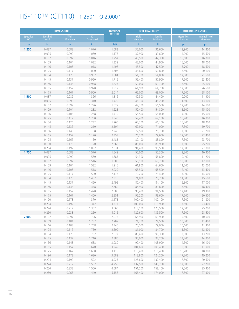## HS-110™ (CT110) | 1.250" TO 2.000"

| Wall<br>Yield<br>Specified<br>Specified<br>ID<br><b>Tensile</b><br><b>Hydro Test</b><br><b>Internal Yield</b><br><b>Calculated</b><br><b>OD</b><br>Wall<br>Minimum<br><b>Minimum</b><br><b>Minimum</b><br><b>Pressure</b><br><b>Minimum</b><br>$\mathsf{lb}$<br>$\mathsf{lb}$<br>in<br>in<br>in<br>lb/ft<br>in<br>psi<br>psi<br>1.250<br>0.082<br>1.076<br>1.083<br>35,000<br>0.087<br>36,600<br>12,900<br>14,300<br>0.095<br>0.090<br>1.060<br>1.175<br>37,900<br>39,600<br>14,000<br>15,600<br>0.102<br>0.097<br>1.046<br>1.254<br>42,300<br>40,500<br>15,100<br>16,800<br>0.109<br>0.104<br>1.032<br>1.332<br>18,000<br>43,000<br>44,900<br>16,200<br>0.116<br>0.108<br>1.018<br>1.408<br>45,500<br>47,500<br>16,700<br>18,600<br>1.000<br>1.506<br>0.125<br>0.117<br>48,600<br>50,800<br>17,500<br>20,100<br>0.134<br>0.126<br>0.982<br>1.601<br>51,700<br>54,000<br>17,500<br>21,600<br>0.145<br>0.137<br>0.960<br>1.715<br>55,400<br>57,900<br>17,500<br>23,400<br>0.156<br>0.938<br>1.827<br>61,700<br>0.148<br>59,000<br>17,500<br>25,100<br>0.920<br>1.917<br>0.165<br>0.157<br>61,900<br>64,700<br>17,500<br>26,500<br>0.175<br>0.167<br>0.900<br>2.014<br>65,000<br>68,000<br>17,500<br>28,100<br>0.087<br>1.326<br>1.500<br>0.082<br>1.316<br>42,500<br>44,400<br>10,700<br>11,900<br>0.095<br>0.090<br>1.310<br>1.429<br>46,100<br>48,200<br>13,100<br>11,800<br>1.527<br>0.102<br>0.097<br>1.296<br>49,300<br>51,500<br>12,700<br>14,100<br>0.109<br>0.104<br>1.282<br>1.623<br>52,400<br>54,800<br>13,600<br>15,100<br>0.108<br>1.268<br>1.719<br>0.116<br>55,500<br>58,000<br>14,000<br>15,600<br>0.125<br>0.117<br>1.250<br>1.840<br>59,400<br>15,200<br>16,900<br>62,100<br>0.134<br>0.126<br>1.232<br>1.960<br>63,300<br>66,100<br>16,400<br>18,200<br>0.145<br>0.137<br>1.210<br>2.104<br>67,900<br>71,000<br>17,500<br>19,700<br>1.188<br>0.156<br>0.148<br>2.245<br>72,500<br>75,700<br>17,500<br>21,200<br>0.165<br>1.170<br>2.358<br>0.157<br>76,100<br>79,600<br>17,500<br>22,400<br>0.175<br>0.167<br>1.150<br>2.483<br>80,100<br>83,800<br>17,500<br>23,700<br>0.190<br>0.178<br>1.120<br>2.665<br>86,000<br>89,900<br>17,500<br>25,200<br>1.092<br>0.204<br>0.192<br>2.831<br>91,400<br>95,500<br>17,500<br>27,000<br>1.750<br>0.087<br>0.082<br>1.576<br>1.549<br>52,300<br>9,300<br>10,300<br>50,000<br>0.095<br>0.090<br>1.560<br>1.683<br>54,300<br>56,800<br>10,100<br>11,200<br>0.102<br>0.097<br>1.546<br>1.800<br>58,100<br>60,700<br>10,900<br>12,100<br>0.109<br>0.104<br>1.532<br>1.915<br>61,800<br>13,000<br>64,600<br>11,700<br>0.116<br>0.108<br>1.518<br>2.029<br>65,500<br>68,500<br>12,100<br>13,400<br>0.125<br>0.117<br>1.500<br>2.175<br>70,200<br>13,100<br>73,400<br>14,500<br>0.134<br>0.126<br>1.482<br>2.318<br>74,800<br>78,200<br>15,600<br>14,000<br>0.145<br>0.137<br>1.460<br>2.492<br>80,400<br>84,100<br>15,300<br>17,000<br>0.156<br>1.438<br>2.662<br>0.148<br>85,900<br>89,800<br>16,500<br>18,300<br>1.420<br>2.800<br>0.165<br>0.157<br>90,400<br>94,500<br>17,400<br>19,300<br>0.167<br>1.400<br>2.951<br>0.175<br>95,200<br>99,600<br>17,500<br>20,500<br>1.370<br>0.190<br>0.178<br>3.173<br>102,400<br>107,100<br>17,500<br>21,800<br>0.204<br>0.192<br>1.342<br>3.377<br>109,000<br>113,900<br>17,500<br>23,400<br>0.224<br>0.212<br>1.302<br>3.660<br>118,100<br>123,500<br>17,500<br>25,700<br>0.250<br>0.238<br>1.250<br>4.015<br>135,500<br>129,600<br>17,500<br>28,500<br>2.000<br>0.102<br>0.097<br>1.796<br>2.073<br>69,900<br>9,500<br>66,900<br>10,600<br>0.109<br>0.104<br>1.782<br>2.207<br>71,200<br>74,500<br>10,300<br>11,400<br>0.116<br>0.108<br>1.768<br>2.340<br>75,500<br>79,000<br>10,600<br>11,800<br>0.125<br>0.117<br>1.750<br>2.509<br>81,000<br>84,700<br>11,500<br>12,800<br>0.134<br>0.126<br>1.732<br>2.677<br>86,400<br>90,300<br>12,300<br>13,700<br>1.710<br>2.880<br>97,200<br>0.145<br>0.137<br>93,000<br>13,400<br>14,900<br>0.156<br>0.148<br>1.688<br>103,900<br>3.080<br>99,400<br>14,500<br>16,100<br>0.165<br>1.670<br>3.242<br>15,300<br>17,000<br>0.157<br>104,600<br>109,400<br>0.175<br>0.167<br>1.650<br>3.419<br>110,400<br>115,400<br>16,200<br>18,000<br>0.190<br>0.178<br>1.620<br>3.682<br>118,800<br>124,200<br>17,300<br>19,200<br>0.204<br>0.192<br>1.592<br>3.923<br>132,400<br>17,500<br>20,600<br>126,600<br>0.224<br>1.552<br>4.259<br>143,700<br>0.212<br>137,500<br>17,500<br>22,700<br>0.250<br>0.238<br>1.500<br>4.684<br>151,200<br>158,100<br>17,500<br>25,300 |       | <b>DIMENSIONS</b> |       | <b>NOMINAL</b> |         | <b>TUBE LOAD BODY</b> |        | <b>INTERNAL PRESSURE</b> |
|-----------------------------------------------------------------------------------------------------------------------------------------------------------------------------------------------------------------------------------------------------------------------------------------------------------------------------------------------------------------------------------------------------------------------------------------------------------------------------------------------------------------------------------------------------------------------------------------------------------------------------------------------------------------------------------------------------------------------------------------------------------------------------------------------------------------------------------------------------------------------------------------------------------------------------------------------------------------------------------------------------------------------------------------------------------------------------------------------------------------------------------------------------------------------------------------------------------------------------------------------------------------------------------------------------------------------------------------------------------------------------------------------------------------------------------------------------------------------------------------------------------------------------------------------------------------------------------------------------------------------------------------------------------------------------------------------------------------------------------------------------------------------------------------------------------------------------------------------------------------------------------------------------------------------------------------------------------------------------------------------------------------------------------------------------------------------------------------------------------------------------------------------------------------------------------------------------------------------------------------------------------------------------------------------------------------------------------------------------------------------------------------------------------------------------------------------------------------------------------------------------------------------------------------------------------------------------------------------------------------------------------------------------------------------------------------------------------------------------------------------------------------------------------------------------------------------------------------------------------------------------------------------------------------------------------------------------------------------------------------------------------------------------------------------------------------------------------------------------------------------------------------------------------------------------------------------------------------------------------------------------------------------------------------------------------------------------------------------------------------------------------------------------------------------------------------------------------------------------------------------------------------------------------------------------------------------------------------------------------------------------------------------------------------------------------------------------------------------------------------------------------------------------------------------------------------------------------------------------------------------------------------------------------------------------------------------------------------------------------------------------------------------------------------------------------------------------------------------------------------------------------------------------------------------------------------------------------------------------------------------------------------------------------------------------------------------------------------------------------------------------------------------------------------------------------------------------------------------------------------------------|-------|-------------------|-------|----------------|---------|-----------------------|--------|--------------------------|
|                                                                                                                                                                                                                                                                                                                                                                                                                                                                                                                                                                                                                                                                                                                                                                                                                                                                                                                                                                                                                                                                                                                                                                                                                                                                                                                                                                                                                                                                                                                                                                                                                                                                                                                                                                                                                                                                                                                                                                                                                                                                                                                                                                                                                                                                                                                                                                                                                                                                                                                                                                                                                                                                                                                                                                                                                                                                                                                                                                                                                                                                                                                                                                                                                                                                                                                                                                                                                                                                                                                                                                                                                                                                                                                                                                                                                                                                                                                                                                                                                                                                                                                                                                                                                                                                                                                                                                                                                                                                                                     |       |                   |       | <b>WEIGHT</b>  |         |                       |        |                          |
|                                                                                                                                                                                                                                                                                                                                                                                                                                                                                                                                                                                                                                                                                                                                                                                                                                                                                                                                                                                                                                                                                                                                                                                                                                                                                                                                                                                                                                                                                                                                                                                                                                                                                                                                                                                                                                                                                                                                                                                                                                                                                                                                                                                                                                                                                                                                                                                                                                                                                                                                                                                                                                                                                                                                                                                                                                                                                                                                                                                                                                                                                                                                                                                                                                                                                                                                                                                                                                                                                                                                                                                                                                                                                                                                                                                                                                                                                                                                                                                                                                                                                                                                                                                                                                                                                                                                                                                                                                                                                                     |       |                   |       |                |         |                       |        |                          |
|                                                                                                                                                                                                                                                                                                                                                                                                                                                                                                                                                                                                                                                                                                                                                                                                                                                                                                                                                                                                                                                                                                                                                                                                                                                                                                                                                                                                                                                                                                                                                                                                                                                                                                                                                                                                                                                                                                                                                                                                                                                                                                                                                                                                                                                                                                                                                                                                                                                                                                                                                                                                                                                                                                                                                                                                                                                                                                                                                                                                                                                                                                                                                                                                                                                                                                                                                                                                                                                                                                                                                                                                                                                                                                                                                                                                                                                                                                                                                                                                                                                                                                                                                                                                                                                                                                                                                                                                                                                                                                     |       |                   |       |                |         |                       |        |                          |
|                                                                                                                                                                                                                                                                                                                                                                                                                                                                                                                                                                                                                                                                                                                                                                                                                                                                                                                                                                                                                                                                                                                                                                                                                                                                                                                                                                                                                                                                                                                                                                                                                                                                                                                                                                                                                                                                                                                                                                                                                                                                                                                                                                                                                                                                                                                                                                                                                                                                                                                                                                                                                                                                                                                                                                                                                                                                                                                                                                                                                                                                                                                                                                                                                                                                                                                                                                                                                                                                                                                                                                                                                                                                                                                                                                                                                                                                                                                                                                                                                                                                                                                                                                                                                                                                                                                                                                                                                                                                                                     |       |                   |       |                |         |                       |        |                          |
|                                                                                                                                                                                                                                                                                                                                                                                                                                                                                                                                                                                                                                                                                                                                                                                                                                                                                                                                                                                                                                                                                                                                                                                                                                                                                                                                                                                                                                                                                                                                                                                                                                                                                                                                                                                                                                                                                                                                                                                                                                                                                                                                                                                                                                                                                                                                                                                                                                                                                                                                                                                                                                                                                                                                                                                                                                                                                                                                                                                                                                                                                                                                                                                                                                                                                                                                                                                                                                                                                                                                                                                                                                                                                                                                                                                                                                                                                                                                                                                                                                                                                                                                                                                                                                                                                                                                                                                                                                                                                                     |       |                   |       |                |         |                       |        |                          |
|                                                                                                                                                                                                                                                                                                                                                                                                                                                                                                                                                                                                                                                                                                                                                                                                                                                                                                                                                                                                                                                                                                                                                                                                                                                                                                                                                                                                                                                                                                                                                                                                                                                                                                                                                                                                                                                                                                                                                                                                                                                                                                                                                                                                                                                                                                                                                                                                                                                                                                                                                                                                                                                                                                                                                                                                                                                                                                                                                                                                                                                                                                                                                                                                                                                                                                                                                                                                                                                                                                                                                                                                                                                                                                                                                                                                                                                                                                                                                                                                                                                                                                                                                                                                                                                                                                                                                                                                                                                                                                     |       |                   |       |                |         |                       |        |                          |
|                                                                                                                                                                                                                                                                                                                                                                                                                                                                                                                                                                                                                                                                                                                                                                                                                                                                                                                                                                                                                                                                                                                                                                                                                                                                                                                                                                                                                                                                                                                                                                                                                                                                                                                                                                                                                                                                                                                                                                                                                                                                                                                                                                                                                                                                                                                                                                                                                                                                                                                                                                                                                                                                                                                                                                                                                                                                                                                                                                                                                                                                                                                                                                                                                                                                                                                                                                                                                                                                                                                                                                                                                                                                                                                                                                                                                                                                                                                                                                                                                                                                                                                                                                                                                                                                                                                                                                                                                                                                                                     |       |                   |       |                |         |                       |        |                          |
|                                                                                                                                                                                                                                                                                                                                                                                                                                                                                                                                                                                                                                                                                                                                                                                                                                                                                                                                                                                                                                                                                                                                                                                                                                                                                                                                                                                                                                                                                                                                                                                                                                                                                                                                                                                                                                                                                                                                                                                                                                                                                                                                                                                                                                                                                                                                                                                                                                                                                                                                                                                                                                                                                                                                                                                                                                                                                                                                                                                                                                                                                                                                                                                                                                                                                                                                                                                                                                                                                                                                                                                                                                                                                                                                                                                                                                                                                                                                                                                                                                                                                                                                                                                                                                                                                                                                                                                                                                                                                                     |       |                   |       |                |         |                       |        |                          |
|                                                                                                                                                                                                                                                                                                                                                                                                                                                                                                                                                                                                                                                                                                                                                                                                                                                                                                                                                                                                                                                                                                                                                                                                                                                                                                                                                                                                                                                                                                                                                                                                                                                                                                                                                                                                                                                                                                                                                                                                                                                                                                                                                                                                                                                                                                                                                                                                                                                                                                                                                                                                                                                                                                                                                                                                                                                                                                                                                                                                                                                                                                                                                                                                                                                                                                                                                                                                                                                                                                                                                                                                                                                                                                                                                                                                                                                                                                                                                                                                                                                                                                                                                                                                                                                                                                                                                                                                                                                                                                     |       |                   |       |                |         |                       |        |                          |
|                                                                                                                                                                                                                                                                                                                                                                                                                                                                                                                                                                                                                                                                                                                                                                                                                                                                                                                                                                                                                                                                                                                                                                                                                                                                                                                                                                                                                                                                                                                                                                                                                                                                                                                                                                                                                                                                                                                                                                                                                                                                                                                                                                                                                                                                                                                                                                                                                                                                                                                                                                                                                                                                                                                                                                                                                                                                                                                                                                                                                                                                                                                                                                                                                                                                                                                                                                                                                                                                                                                                                                                                                                                                                                                                                                                                                                                                                                                                                                                                                                                                                                                                                                                                                                                                                                                                                                                                                                                                                                     |       |                   |       |                |         |                       |        |                          |
|                                                                                                                                                                                                                                                                                                                                                                                                                                                                                                                                                                                                                                                                                                                                                                                                                                                                                                                                                                                                                                                                                                                                                                                                                                                                                                                                                                                                                                                                                                                                                                                                                                                                                                                                                                                                                                                                                                                                                                                                                                                                                                                                                                                                                                                                                                                                                                                                                                                                                                                                                                                                                                                                                                                                                                                                                                                                                                                                                                                                                                                                                                                                                                                                                                                                                                                                                                                                                                                                                                                                                                                                                                                                                                                                                                                                                                                                                                                                                                                                                                                                                                                                                                                                                                                                                                                                                                                                                                                                                                     |       |                   |       |                |         |                       |        |                          |
|                                                                                                                                                                                                                                                                                                                                                                                                                                                                                                                                                                                                                                                                                                                                                                                                                                                                                                                                                                                                                                                                                                                                                                                                                                                                                                                                                                                                                                                                                                                                                                                                                                                                                                                                                                                                                                                                                                                                                                                                                                                                                                                                                                                                                                                                                                                                                                                                                                                                                                                                                                                                                                                                                                                                                                                                                                                                                                                                                                                                                                                                                                                                                                                                                                                                                                                                                                                                                                                                                                                                                                                                                                                                                                                                                                                                                                                                                                                                                                                                                                                                                                                                                                                                                                                                                                                                                                                                                                                                                                     |       |                   |       |                |         |                       |        |                          |
|                                                                                                                                                                                                                                                                                                                                                                                                                                                                                                                                                                                                                                                                                                                                                                                                                                                                                                                                                                                                                                                                                                                                                                                                                                                                                                                                                                                                                                                                                                                                                                                                                                                                                                                                                                                                                                                                                                                                                                                                                                                                                                                                                                                                                                                                                                                                                                                                                                                                                                                                                                                                                                                                                                                                                                                                                                                                                                                                                                                                                                                                                                                                                                                                                                                                                                                                                                                                                                                                                                                                                                                                                                                                                                                                                                                                                                                                                                                                                                                                                                                                                                                                                                                                                                                                                                                                                                                                                                                                                                     |       |                   |       |                |         |                       |        |                          |
|                                                                                                                                                                                                                                                                                                                                                                                                                                                                                                                                                                                                                                                                                                                                                                                                                                                                                                                                                                                                                                                                                                                                                                                                                                                                                                                                                                                                                                                                                                                                                                                                                                                                                                                                                                                                                                                                                                                                                                                                                                                                                                                                                                                                                                                                                                                                                                                                                                                                                                                                                                                                                                                                                                                                                                                                                                                                                                                                                                                                                                                                                                                                                                                                                                                                                                                                                                                                                                                                                                                                                                                                                                                                                                                                                                                                                                                                                                                                                                                                                                                                                                                                                                                                                                                                                                                                                                                                                                                                                                     |       |                   |       |                |         |                       |        |                          |
|                                                                                                                                                                                                                                                                                                                                                                                                                                                                                                                                                                                                                                                                                                                                                                                                                                                                                                                                                                                                                                                                                                                                                                                                                                                                                                                                                                                                                                                                                                                                                                                                                                                                                                                                                                                                                                                                                                                                                                                                                                                                                                                                                                                                                                                                                                                                                                                                                                                                                                                                                                                                                                                                                                                                                                                                                                                                                                                                                                                                                                                                                                                                                                                                                                                                                                                                                                                                                                                                                                                                                                                                                                                                                                                                                                                                                                                                                                                                                                                                                                                                                                                                                                                                                                                                                                                                                                                                                                                                                                     |       |                   |       |                |         |                       |        |                          |
|                                                                                                                                                                                                                                                                                                                                                                                                                                                                                                                                                                                                                                                                                                                                                                                                                                                                                                                                                                                                                                                                                                                                                                                                                                                                                                                                                                                                                                                                                                                                                                                                                                                                                                                                                                                                                                                                                                                                                                                                                                                                                                                                                                                                                                                                                                                                                                                                                                                                                                                                                                                                                                                                                                                                                                                                                                                                                                                                                                                                                                                                                                                                                                                                                                                                                                                                                                                                                                                                                                                                                                                                                                                                                                                                                                                                                                                                                                                                                                                                                                                                                                                                                                                                                                                                                                                                                                                                                                                                                                     |       |                   |       |                |         |                       |        |                          |
|                                                                                                                                                                                                                                                                                                                                                                                                                                                                                                                                                                                                                                                                                                                                                                                                                                                                                                                                                                                                                                                                                                                                                                                                                                                                                                                                                                                                                                                                                                                                                                                                                                                                                                                                                                                                                                                                                                                                                                                                                                                                                                                                                                                                                                                                                                                                                                                                                                                                                                                                                                                                                                                                                                                                                                                                                                                                                                                                                                                                                                                                                                                                                                                                                                                                                                                                                                                                                                                                                                                                                                                                                                                                                                                                                                                                                                                                                                                                                                                                                                                                                                                                                                                                                                                                                                                                                                                                                                                                                                     |       |                   |       |                |         |                       |        |                          |
|                                                                                                                                                                                                                                                                                                                                                                                                                                                                                                                                                                                                                                                                                                                                                                                                                                                                                                                                                                                                                                                                                                                                                                                                                                                                                                                                                                                                                                                                                                                                                                                                                                                                                                                                                                                                                                                                                                                                                                                                                                                                                                                                                                                                                                                                                                                                                                                                                                                                                                                                                                                                                                                                                                                                                                                                                                                                                                                                                                                                                                                                                                                                                                                                                                                                                                                                                                                                                                                                                                                                                                                                                                                                                                                                                                                                                                                                                                                                                                                                                                                                                                                                                                                                                                                                                                                                                                                                                                                                                                     |       |                   |       |                |         |                       |        |                          |
|                                                                                                                                                                                                                                                                                                                                                                                                                                                                                                                                                                                                                                                                                                                                                                                                                                                                                                                                                                                                                                                                                                                                                                                                                                                                                                                                                                                                                                                                                                                                                                                                                                                                                                                                                                                                                                                                                                                                                                                                                                                                                                                                                                                                                                                                                                                                                                                                                                                                                                                                                                                                                                                                                                                                                                                                                                                                                                                                                                                                                                                                                                                                                                                                                                                                                                                                                                                                                                                                                                                                                                                                                                                                                                                                                                                                                                                                                                                                                                                                                                                                                                                                                                                                                                                                                                                                                                                                                                                                                                     |       |                   |       |                |         |                       |        |                          |
|                                                                                                                                                                                                                                                                                                                                                                                                                                                                                                                                                                                                                                                                                                                                                                                                                                                                                                                                                                                                                                                                                                                                                                                                                                                                                                                                                                                                                                                                                                                                                                                                                                                                                                                                                                                                                                                                                                                                                                                                                                                                                                                                                                                                                                                                                                                                                                                                                                                                                                                                                                                                                                                                                                                                                                                                                                                                                                                                                                                                                                                                                                                                                                                                                                                                                                                                                                                                                                                                                                                                                                                                                                                                                                                                                                                                                                                                                                                                                                                                                                                                                                                                                                                                                                                                                                                                                                                                                                                                                                     |       |                   |       |                |         |                       |        |                          |
|                                                                                                                                                                                                                                                                                                                                                                                                                                                                                                                                                                                                                                                                                                                                                                                                                                                                                                                                                                                                                                                                                                                                                                                                                                                                                                                                                                                                                                                                                                                                                                                                                                                                                                                                                                                                                                                                                                                                                                                                                                                                                                                                                                                                                                                                                                                                                                                                                                                                                                                                                                                                                                                                                                                                                                                                                                                                                                                                                                                                                                                                                                                                                                                                                                                                                                                                                                                                                                                                                                                                                                                                                                                                                                                                                                                                                                                                                                                                                                                                                                                                                                                                                                                                                                                                                                                                                                                                                                                                                                     |       |                   |       |                |         |                       |        |                          |
|                                                                                                                                                                                                                                                                                                                                                                                                                                                                                                                                                                                                                                                                                                                                                                                                                                                                                                                                                                                                                                                                                                                                                                                                                                                                                                                                                                                                                                                                                                                                                                                                                                                                                                                                                                                                                                                                                                                                                                                                                                                                                                                                                                                                                                                                                                                                                                                                                                                                                                                                                                                                                                                                                                                                                                                                                                                                                                                                                                                                                                                                                                                                                                                                                                                                                                                                                                                                                                                                                                                                                                                                                                                                                                                                                                                                                                                                                                                                                                                                                                                                                                                                                                                                                                                                                                                                                                                                                                                                                                     |       |                   |       |                |         |                       |        |                          |
|                                                                                                                                                                                                                                                                                                                                                                                                                                                                                                                                                                                                                                                                                                                                                                                                                                                                                                                                                                                                                                                                                                                                                                                                                                                                                                                                                                                                                                                                                                                                                                                                                                                                                                                                                                                                                                                                                                                                                                                                                                                                                                                                                                                                                                                                                                                                                                                                                                                                                                                                                                                                                                                                                                                                                                                                                                                                                                                                                                                                                                                                                                                                                                                                                                                                                                                                                                                                                                                                                                                                                                                                                                                                                                                                                                                                                                                                                                                                                                                                                                                                                                                                                                                                                                                                                                                                                                                                                                                                                                     |       |                   |       |                |         |                       |        |                          |
|                                                                                                                                                                                                                                                                                                                                                                                                                                                                                                                                                                                                                                                                                                                                                                                                                                                                                                                                                                                                                                                                                                                                                                                                                                                                                                                                                                                                                                                                                                                                                                                                                                                                                                                                                                                                                                                                                                                                                                                                                                                                                                                                                                                                                                                                                                                                                                                                                                                                                                                                                                                                                                                                                                                                                                                                                                                                                                                                                                                                                                                                                                                                                                                                                                                                                                                                                                                                                                                                                                                                                                                                                                                                                                                                                                                                                                                                                                                                                                                                                                                                                                                                                                                                                                                                                                                                                                                                                                                                                                     |       |                   |       |                |         |                       |        |                          |
|                                                                                                                                                                                                                                                                                                                                                                                                                                                                                                                                                                                                                                                                                                                                                                                                                                                                                                                                                                                                                                                                                                                                                                                                                                                                                                                                                                                                                                                                                                                                                                                                                                                                                                                                                                                                                                                                                                                                                                                                                                                                                                                                                                                                                                                                                                                                                                                                                                                                                                                                                                                                                                                                                                                                                                                                                                                                                                                                                                                                                                                                                                                                                                                                                                                                                                                                                                                                                                                                                                                                                                                                                                                                                                                                                                                                                                                                                                                                                                                                                                                                                                                                                                                                                                                                                                                                                                                                                                                                                                     |       |                   |       |                |         |                       |        |                          |
|                                                                                                                                                                                                                                                                                                                                                                                                                                                                                                                                                                                                                                                                                                                                                                                                                                                                                                                                                                                                                                                                                                                                                                                                                                                                                                                                                                                                                                                                                                                                                                                                                                                                                                                                                                                                                                                                                                                                                                                                                                                                                                                                                                                                                                                                                                                                                                                                                                                                                                                                                                                                                                                                                                                                                                                                                                                                                                                                                                                                                                                                                                                                                                                                                                                                                                                                                                                                                                                                                                                                                                                                                                                                                                                                                                                                                                                                                                                                                                                                                                                                                                                                                                                                                                                                                                                                                                                                                                                                                                     |       |                   |       |                |         |                       |        |                          |
|                                                                                                                                                                                                                                                                                                                                                                                                                                                                                                                                                                                                                                                                                                                                                                                                                                                                                                                                                                                                                                                                                                                                                                                                                                                                                                                                                                                                                                                                                                                                                                                                                                                                                                                                                                                                                                                                                                                                                                                                                                                                                                                                                                                                                                                                                                                                                                                                                                                                                                                                                                                                                                                                                                                                                                                                                                                                                                                                                                                                                                                                                                                                                                                                                                                                                                                                                                                                                                                                                                                                                                                                                                                                                                                                                                                                                                                                                                                                                                                                                                                                                                                                                                                                                                                                                                                                                                                                                                                                                                     |       |                   |       |                |         |                       |        |                          |
|                                                                                                                                                                                                                                                                                                                                                                                                                                                                                                                                                                                                                                                                                                                                                                                                                                                                                                                                                                                                                                                                                                                                                                                                                                                                                                                                                                                                                                                                                                                                                                                                                                                                                                                                                                                                                                                                                                                                                                                                                                                                                                                                                                                                                                                                                                                                                                                                                                                                                                                                                                                                                                                                                                                                                                                                                                                                                                                                                                                                                                                                                                                                                                                                                                                                                                                                                                                                                                                                                                                                                                                                                                                                                                                                                                                                                                                                                                                                                                                                                                                                                                                                                                                                                                                                                                                                                                                                                                                                                                     |       |                   |       |                |         |                       |        |                          |
|                                                                                                                                                                                                                                                                                                                                                                                                                                                                                                                                                                                                                                                                                                                                                                                                                                                                                                                                                                                                                                                                                                                                                                                                                                                                                                                                                                                                                                                                                                                                                                                                                                                                                                                                                                                                                                                                                                                                                                                                                                                                                                                                                                                                                                                                                                                                                                                                                                                                                                                                                                                                                                                                                                                                                                                                                                                                                                                                                                                                                                                                                                                                                                                                                                                                                                                                                                                                                                                                                                                                                                                                                                                                                                                                                                                                                                                                                                                                                                                                                                                                                                                                                                                                                                                                                                                                                                                                                                                                                                     |       |                   |       |                |         |                       |        |                          |
|                                                                                                                                                                                                                                                                                                                                                                                                                                                                                                                                                                                                                                                                                                                                                                                                                                                                                                                                                                                                                                                                                                                                                                                                                                                                                                                                                                                                                                                                                                                                                                                                                                                                                                                                                                                                                                                                                                                                                                                                                                                                                                                                                                                                                                                                                                                                                                                                                                                                                                                                                                                                                                                                                                                                                                                                                                                                                                                                                                                                                                                                                                                                                                                                                                                                                                                                                                                                                                                                                                                                                                                                                                                                                                                                                                                                                                                                                                                                                                                                                                                                                                                                                                                                                                                                                                                                                                                                                                                                                                     |       |                   |       |                |         |                       |        |                          |
|                                                                                                                                                                                                                                                                                                                                                                                                                                                                                                                                                                                                                                                                                                                                                                                                                                                                                                                                                                                                                                                                                                                                                                                                                                                                                                                                                                                                                                                                                                                                                                                                                                                                                                                                                                                                                                                                                                                                                                                                                                                                                                                                                                                                                                                                                                                                                                                                                                                                                                                                                                                                                                                                                                                                                                                                                                                                                                                                                                                                                                                                                                                                                                                                                                                                                                                                                                                                                                                                                                                                                                                                                                                                                                                                                                                                                                                                                                                                                                                                                                                                                                                                                                                                                                                                                                                                                                                                                                                                                                     |       |                   |       |                |         |                       |        |                          |
|                                                                                                                                                                                                                                                                                                                                                                                                                                                                                                                                                                                                                                                                                                                                                                                                                                                                                                                                                                                                                                                                                                                                                                                                                                                                                                                                                                                                                                                                                                                                                                                                                                                                                                                                                                                                                                                                                                                                                                                                                                                                                                                                                                                                                                                                                                                                                                                                                                                                                                                                                                                                                                                                                                                                                                                                                                                                                                                                                                                                                                                                                                                                                                                                                                                                                                                                                                                                                                                                                                                                                                                                                                                                                                                                                                                                                                                                                                                                                                                                                                                                                                                                                                                                                                                                                                                                                                                                                                                                                                     |       |                   |       |                |         |                       |        |                          |
|                                                                                                                                                                                                                                                                                                                                                                                                                                                                                                                                                                                                                                                                                                                                                                                                                                                                                                                                                                                                                                                                                                                                                                                                                                                                                                                                                                                                                                                                                                                                                                                                                                                                                                                                                                                                                                                                                                                                                                                                                                                                                                                                                                                                                                                                                                                                                                                                                                                                                                                                                                                                                                                                                                                                                                                                                                                                                                                                                                                                                                                                                                                                                                                                                                                                                                                                                                                                                                                                                                                                                                                                                                                                                                                                                                                                                                                                                                                                                                                                                                                                                                                                                                                                                                                                                                                                                                                                                                                                                                     |       |                   |       |                |         |                       |        |                          |
|                                                                                                                                                                                                                                                                                                                                                                                                                                                                                                                                                                                                                                                                                                                                                                                                                                                                                                                                                                                                                                                                                                                                                                                                                                                                                                                                                                                                                                                                                                                                                                                                                                                                                                                                                                                                                                                                                                                                                                                                                                                                                                                                                                                                                                                                                                                                                                                                                                                                                                                                                                                                                                                                                                                                                                                                                                                                                                                                                                                                                                                                                                                                                                                                                                                                                                                                                                                                                                                                                                                                                                                                                                                                                                                                                                                                                                                                                                                                                                                                                                                                                                                                                                                                                                                                                                                                                                                                                                                                                                     |       |                   |       |                |         |                       |        |                          |
|                                                                                                                                                                                                                                                                                                                                                                                                                                                                                                                                                                                                                                                                                                                                                                                                                                                                                                                                                                                                                                                                                                                                                                                                                                                                                                                                                                                                                                                                                                                                                                                                                                                                                                                                                                                                                                                                                                                                                                                                                                                                                                                                                                                                                                                                                                                                                                                                                                                                                                                                                                                                                                                                                                                                                                                                                                                                                                                                                                                                                                                                                                                                                                                                                                                                                                                                                                                                                                                                                                                                                                                                                                                                                                                                                                                                                                                                                                                                                                                                                                                                                                                                                                                                                                                                                                                                                                                                                                                                                                     |       |                   |       |                |         |                       |        |                          |
|                                                                                                                                                                                                                                                                                                                                                                                                                                                                                                                                                                                                                                                                                                                                                                                                                                                                                                                                                                                                                                                                                                                                                                                                                                                                                                                                                                                                                                                                                                                                                                                                                                                                                                                                                                                                                                                                                                                                                                                                                                                                                                                                                                                                                                                                                                                                                                                                                                                                                                                                                                                                                                                                                                                                                                                                                                                                                                                                                                                                                                                                                                                                                                                                                                                                                                                                                                                                                                                                                                                                                                                                                                                                                                                                                                                                                                                                                                                                                                                                                                                                                                                                                                                                                                                                                                                                                                                                                                                                                                     |       |                   |       |                |         |                       |        |                          |
|                                                                                                                                                                                                                                                                                                                                                                                                                                                                                                                                                                                                                                                                                                                                                                                                                                                                                                                                                                                                                                                                                                                                                                                                                                                                                                                                                                                                                                                                                                                                                                                                                                                                                                                                                                                                                                                                                                                                                                                                                                                                                                                                                                                                                                                                                                                                                                                                                                                                                                                                                                                                                                                                                                                                                                                                                                                                                                                                                                                                                                                                                                                                                                                                                                                                                                                                                                                                                                                                                                                                                                                                                                                                                                                                                                                                                                                                                                                                                                                                                                                                                                                                                                                                                                                                                                                                                                                                                                                                                                     |       |                   |       |                |         |                       |        |                          |
|                                                                                                                                                                                                                                                                                                                                                                                                                                                                                                                                                                                                                                                                                                                                                                                                                                                                                                                                                                                                                                                                                                                                                                                                                                                                                                                                                                                                                                                                                                                                                                                                                                                                                                                                                                                                                                                                                                                                                                                                                                                                                                                                                                                                                                                                                                                                                                                                                                                                                                                                                                                                                                                                                                                                                                                                                                                                                                                                                                                                                                                                                                                                                                                                                                                                                                                                                                                                                                                                                                                                                                                                                                                                                                                                                                                                                                                                                                                                                                                                                                                                                                                                                                                                                                                                                                                                                                                                                                                                                                     |       |                   |       |                |         |                       |        |                          |
|                                                                                                                                                                                                                                                                                                                                                                                                                                                                                                                                                                                                                                                                                                                                                                                                                                                                                                                                                                                                                                                                                                                                                                                                                                                                                                                                                                                                                                                                                                                                                                                                                                                                                                                                                                                                                                                                                                                                                                                                                                                                                                                                                                                                                                                                                                                                                                                                                                                                                                                                                                                                                                                                                                                                                                                                                                                                                                                                                                                                                                                                                                                                                                                                                                                                                                                                                                                                                                                                                                                                                                                                                                                                                                                                                                                                                                                                                                                                                                                                                                                                                                                                                                                                                                                                                                                                                                                                                                                                                                     |       |                   |       |                |         |                       |        |                          |
|                                                                                                                                                                                                                                                                                                                                                                                                                                                                                                                                                                                                                                                                                                                                                                                                                                                                                                                                                                                                                                                                                                                                                                                                                                                                                                                                                                                                                                                                                                                                                                                                                                                                                                                                                                                                                                                                                                                                                                                                                                                                                                                                                                                                                                                                                                                                                                                                                                                                                                                                                                                                                                                                                                                                                                                                                                                                                                                                                                                                                                                                                                                                                                                                                                                                                                                                                                                                                                                                                                                                                                                                                                                                                                                                                                                                                                                                                                                                                                                                                                                                                                                                                                                                                                                                                                                                                                                                                                                                                                     |       |                   |       |                |         |                       |        |                          |
|                                                                                                                                                                                                                                                                                                                                                                                                                                                                                                                                                                                                                                                                                                                                                                                                                                                                                                                                                                                                                                                                                                                                                                                                                                                                                                                                                                                                                                                                                                                                                                                                                                                                                                                                                                                                                                                                                                                                                                                                                                                                                                                                                                                                                                                                                                                                                                                                                                                                                                                                                                                                                                                                                                                                                                                                                                                                                                                                                                                                                                                                                                                                                                                                                                                                                                                                                                                                                                                                                                                                                                                                                                                                                                                                                                                                                                                                                                                                                                                                                                                                                                                                                                                                                                                                                                                                                                                                                                                                                                     |       |                   |       |                |         |                       |        |                          |
|                                                                                                                                                                                                                                                                                                                                                                                                                                                                                                                                                                                                                                                                                                                                                                                                                                                                                                                                                                                                                                                                                                                                                                                                                                                                                                                                                                                                                                                                                                                                                                                                                                                                                                                                                                                                                                                                                                                                                                                                                                                                                                                                                                                                                                                                                                                                                                                                                                                                                                                                                                                                                                                                                                                                                                                                                                                                                                                                                                                                                                                                                                                                                                                                                                                                                                                                                                                                                                                                                                                                                                                                                                                                                                                                                                                                                                                                                                                                                                                                                                                                                                                                                                                                                                                                                                                                                                                                                                                                                                     |       |                   |       |                |         |                       |        |                          |
|                                                                                                                                                                                                                                                                                                                                                                                                                                                                                                                                                                                                                                                                                                                                                                                                                                                                                                                                                                                                                                                                                                                                                                                                                                                                                                                                                                                                                                                                                                                                                                                                                                                                                                                                                                                                                                                                                                                                                                                                                                                                                                                                                                                                                                                                                                                                                                                                                                                                                                                                                                                                                                                                                                                                                                                                                                                                                                                                                                                                                                                                                                                                                                                                                                                                                                                                                                                                                                                                                                                                                                                                                                                                                                                                                                                                                                                                                                                                                                                                                                                                                                                                                                                                                                                                                                                                                                                                                                                                                                     |       |                   |       |                |         |                       |        |                          |
|                                                                                                                                                                                                                                                                                                                                                                                                                                                                                                                                                                                                                                                                                                                                                                                                                                                                                                                                                                                                                                                                                                                                                                                                                                                                                                                                                                                                                                                                                                                                                                                                                                                                                                                                                                                                                                                                                                                                                                                                                                                                                                                                                                                                                                                                                                                                                                                                                                                                                                                                                                                                                                                                                                                                                                                                                                                                                                                                                                                                                                                                                                                                                                                                                                                                                                                                                                                                                                                                                                                                                                                                                                                                                                                                                                                                                                                                                                                                                                                                                                                                                                                                                                                                                                                                                                                                                                                                                                                                                                     |       |                   |       |                |         |                       |        |                          |
|                                                                                                                                                                                                                                                                                                                                                                                                                                                                                                                                                                                                                                                                                                                                                                                                                                                                                                                                                                                                                                                                                                                                                                                                                                                                                                                                                                                                                                                                                                                                                                                                                                                                                                                                                                                                                                                                                                                                                                                                                                                                                                                                                                                                                                                                                                                                                                                                                                                                                                                                                                                                                                                                                                                                                                                                                                                                                                                                                                                                                                                                                                                                                                                                                                                                                                                                                                                                                                                                                                                                                                                                                                                                                                                                                                                                                                                                                                                                                                                                                                                                                                                                                                                                                                                                                                                                                                                                                                                                                                     |       |                   |       |                |         |                       |        |                          |
|                                                                                                                                                                                                                                                                                                                                                                                                                                                                                                                                                                                                                                                                                                                                                                                                                                                                                                                                                                                                                                                                                                                                                                                                                                                                                                                                                                                                                                                                                                                                                                                                                                                                                                                                                                                                                                                                                                                                                                                                                                                                                                                                                                                                                                                                                                                                                                                                                                                                                                                                                                                                                                                                                                                                                                                                                                                                                                                                                                                                                                                                                                                                                                                                                                                                                                                                                                                                                                                                                                                                                                                                                                                                                                                                                                                                                                                                                                                                                                                                                                                                                                                                                                                                                                                                                                                                                                                                                                                                                                     |       |                   |       |                |         |                       |        |                          |
|                                                                                                                                                                                                                                                                                                                                                                                                                                                                                                                                                                                                                                                                                                                                                                                                                                                                                                                                                                                                                                                                                                                                                                                                                                                                                                                                                                                                                                                                                                                                                                                                                                                                                                                                                                                                                                                                                                                                                                                                                                                                                                                                                                                                                                                                                                                                                                                                                                                                                                                                                                                                                                                                                                                                                                                                                                                                                                                                                                                                                                                                                                                                                                                                                                                                                                                                                                                                                                                                                                                                                                                                                                                                                                                                                                                                                                                                                                                                                                                                                                                                                                                                                                                                                                                                                                                                                                                                                                                                                                     |       |                   |       |                |         |                       |        |                          |
|                                                                                                                                                                                                                                                                                                                                                                                                                                                                                                                                                                                                                                                                                                                                                                                                                                                                                                                                                                                                                                                                                                                                                                                                                                                                                                                                                                                                                                                                                                                                                                                                                                                                                                                                                                                                                                                                                                                                                                                                                                                                                                                                                                                                                                                                                                                                                                                                                                                                                                                                                                                                                                                                                                                                                                                                                                                                                                                                                                                                                                                                                                                                                                                                                                                                                                                                                                                                                                                                                                                                                                                                                                                                                                                                                                                                                                                                                                                                                                                                                                                                                                                                                                                                                                                                                                                                                                                                                                                                                                     |       |                   |       |                |         |                       |        |                          |
|                                                                                                                                                                                                                                                                                                                                                                                                                                                                                                                                                                                                                                                                                                                                                                                                                                                                                                                                                                                                                                                                                                                                                                                                                                                                                                                                                                                                                                                                                                                                                                                                                                                                                                                                                                                                                                                                                                                                                                                                                                                                                                                                                                                                                                                                                                                                                                                                                                                                                                                                                                                                                                                                                                                                                                                                                                                                                                                                                                                                                                                                                                                                                                                                                                                                                                                                                                                                                                                                                                                                                                                                                                                                                                                                                                                                                                                                                                                                                                                                                                                                                                                                                                                                                                                                                                                                                                                                                                                                                                     |       |                   |       |                |         |                       |        |                          |
|                                                                                                                                                                                                                                                                                                                                                                                                                                                                                                                                                                                                                                                                                                                                                                                                                                                                                                                                                                                                                                                                                                                                                                                                                                                                                                                                                                                                                                                                                                                                                                                                                                                                                                                                                                                                                                                                                                                                                                                                                                                                                                                                                                                                                                                                                                                                                                                                                                                                                                                                                                                                                                                                                                                                                                                                                                                                                                                                                                                                                                                                                                                                                                                                                                                                                                                                                                                                                                                                                                                                                                                                                                                                                                                                                                                                                                                                                                                                                                                                                                                                                                                                                                                                                                                                                                                                                                                                                                                                                                     |       |                   |       |                |         |                       |        |                          |
|                                                                                                                                                                                                                                                                                                                                                                                                                                                                                                                                                                                                                                                                                                                                                                                                                                                                                                                                                                                                                                                                                                                                                                                                                                                                                                                                                                                                                                                                                                                                                                                                                                                                                                                                                                                                                                                                                                                                                                                                                                                                                                                                                                                                                                                                                                                                                                                                                                                                                                                                                                                                                                                                                                                                                                                                                                                                                                                                                                                                                                                                                                                                                                                                                                                                                                                                                                                                                                                                                                                                                                                                                                                                                                                                                                                                                                                                                                                                                                                                                                                                                                                                                                                                                                                                                                                                                                                                                                                                                                     |       |                   |       |                |         |                       |        |                          |
|                                                                                                                                                                                                                                                                                                                                                                                                                                                                                                                                                                                                                                                                                                                                                                                                                                                                                                                                                                                                                                                                                                                                                                                                                                                                                                                                                                                                                                                                                                                                                                                                                                                                                                                                                                                                                                                                                                                                                                                                                                                                                                                                                                                                                                                                                                                                                                                                                                                                                                                                                                                                                                                                                                                                                                                                                                                                                                                                                                                                                                                                                                                                                                                                                                                                                                                                                                                                                                                                                                                                                                                                                                                                                                                                                                                                                                                                                                                                                                                                                                                                                                                                                                                                                                                                                                                                                                                                                                                                                                     |       |                   |       |                |         |                       |        |                          |
|                                                                                                                                                                                                                                                                                                                                                                                                                                                                                                                                                                                                                                                                                                                                                                                                                                                                                                                                                                                                                                                                                                                                                                                                                                                                                                                                                                                                                                                                                                                                                                                                                                                                                                                                                                                                                                                                                                                                                                                                                                                                                                                                                                                                                                                                                                                                                                                                                                                                                                                                                                                                                                                                                                                                                                                                                                                                                                                                                                                                                                                                                                                                                                                                                                                                                                                                                                                                                                                                                                                                                                                                                                                                                                                                                                                                                                                                                                                                                                                                                                                                                                                                                                                                                                                                                                                                                                                                                                                                                                     | 0.280 | 0.265             | 1.440 | 5.156          | 166,400 | 174,000               | 17,500 | 27,900                   |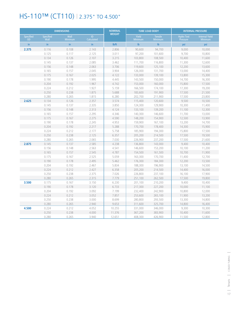## HS-110™ (CT110) | 2.375" TO 4.500"

| <b>DIMENSIONS</b>      |                          |                        |                  | <b>NOMINAL</b>     |                  | <b>TUBE LOAD BODY</b>     | <b>INTERNAL PRESSURE</b>      |                                         |
|------------------------|--------------------------|------------------------|------------------|--------------------|------------------|---------------------------|-------------------------------|-----------------------------------------|
| Specified<br><b>OD</b> | <b>Specified</b><br>Wall | Wall<br><b>Minimum</b> | ID<br>Calculated | <b>WEIGHT</b>      | Yield<br>Minimum | <b>Tensile</b><br>Minimum | <b>Hydro Test</b><br>Pressure | <b>Internal Yield</b><br><b>Minimum</b> |
| in.                    | in                       | in                     | in.              | I <sub>b</sub> /ft | $\mathsf{lb}$    | $\mathsf{lb}$             | psi                           | psi                                     |
| 2.375                  | 0.116                    | 0.108                  | 2.143            | 2.806              | 90,600           | 94,700                    | 9,000                         | 10,000                                  |
|                        | 0.125                    | 0.117                  | 2.125            | 3.011              | 97,200           | 101,600                   | 9,700                         | 10,800                                  |
|                        | 0.134                    | 0.126                  | 2.107            | 3.215              | 103,800          | 108,500                   | 10,400                        | 11,600                                  |
|                        | 0.145                    | 0.137                  | 2.085            | 3.462              | 111,700          | 116,800                   | 11,300                        | 12,600                                  |
|                        | 0.156                    | 0.148                  | 2.063            | 3.706              | 119,600          | 125,100                   | 12,200                        | 13,600                                  |
|                        | 0.165                    | 0.157                  | 2.045            | 3.904              | 126,000          | 131,700                   | 13,000                        | 14,400                                  |
|                        | 0.175                    | 0.167                  | 2.025            | 4.122              | 133,000          | 139,100                   | 13,800                        | 15,300                                  |
|                        | 0.190                    | 0.178                  | 1.995            | 4.445              | 143,500          | 150,000                   | 14,700                        | 16,300                                  |
|                        | 0.204                    | 0.192                  | 1.967            | 4.742              | 153,000          | 160,000                   | 15,800                        | 17,500                                  |
|                        | 0.224                    | 0.212                  | 1.927            | 5.159              | 166,500          | 174,100                   | 17,300                        | 19,200                                  |
|                        | 0.250                    | 0.238                  | 1.875            | 5.688              | 183,600          | 191,900                   | 17,500                        | 21,500                                  |
|                        | 0.280                    | 0.265                  | 1.815            | 6.280              | 202,700          | 211,900                   | 17,500                        | 23,800                                  |
| 2.625                  | 0.134                    | 0.126                  | 2.357            | 3.574              | 115,400          | 120,600                   | 9,500                         | 10,500                                  |
|                        | 0.145                    | 0.137                  | 2.335            | 3.850              | 124,300          | 129,900                   | 10,300                        | 11,400                                  |
|                        | 0.156                    | 0.148                  | 2.313            | 4.124              | 133,100          | 139,200                   | 11,100                        | 12,300                                  |
|                        | 0.165                    | 0.157                  | 2.295            | 4.346              | 140,300          | 146,600                   | 11,700                        | 13,000                                  |
|                        | 0.175                    | 0.167                  | 2.275            | 4.590              | 148,200          | 154,900                   | 12,500                        | 13,900                                  |
|                        | 0.190                    | 0.178                  | 2.245            | 4.953              | 159,900          | 167,100                   | 13,200                        | 14,700                                  |
|                        | 0.204                    | 0.192                  | 2.217            | 5.288              | 170,700          | 178,400                   | 14,300                        | 15,900                                  |
|                        | 0.224                    | 0.212                  | 2.177            | 5.758              | 185,900          | 194,300                   | 15,800                        | 17,500                                  |
|                        | 0.250                    | 0.238                  | 2.125            | 6.357              | 205,200          | 214,500                   | 17,500                        | 19,500                                  |
|                        | 0.280                    | 0.265                  | 2.065            | 7.030              | 226,900          | 237,200                   | 17,500                        | 21,600                                  |
| 2.875                  | 0.145                    | 0.137                  | 2.585            | 4.238              | 136,800          | 143,000                   | 9,400                         | 10,400                                  |
|                        | 0.156                    | 0.148                  | 2.563            | 4.541              | 146,600          | 153,200                   | 10,100                        | 11,200                                  |
|                        | 0.165                    | 0.157                  | 2.545            | 4.787              | 154,500          | 161,500                   | 10,700                        | 11,900                                  |
|                        | 0.175                    | 0.167                  | 2.525            | 5.059              | 163,300          | 170,700                   | 11,400                        | 12,700                                  |
|                        | 0.190                    | 0.178                  | 2.495            | 5.462              | 176,300          | 184,300                   | 12,200                        | 13,500                                  |
|                        | 0.204                    | 0.192                  | 2.467            | 5.834              | 188,300          | 196,900                   | 13,100                        | 14,500                                  |
|                        | 0.224                    | 0.212                  | 2.427            | 6.358              | 205,200          | 214,500                   | 14,400                        | 16,000                                  |
|                        | 0.250                    | 0.238                  | 2.375            | 7.026              | 226,800          | 237,100                   | 16,100                        | 17,900                                  |
|                        | 0.280                    | 0.265                  | 2.315            | 7.779              | 251,100          | 262,500                   | 17,500                        | 19,800                                  |
| 3.500                  | 0.175                    | 0.167                  | 3.150            | 6.230              | 201,100          | 210,200                   | 9,400                         | 10,400                                  |
|                        | 0.190                    | 0.178                  | 3.120            | 6.733              | 217,300          | 227,200                   | 10,000                        | 11,100                                  |
|                        | 0.204                    | 0.192                  | 3.092            | 7.199              | 232,400          | 242,900                   | 10,800                        | 12,000                                  |
|                        | 0.224                    | 0.212                  | 3.052            | 7.857              | 253,600          | 265,100                   | 11,900                        | 13,200                                  |
|                        | 0.250                    | 0.238                  | 3.000            | 8.699              | 280,800          | 293,500                   | 13,300                        | 14,800                                  |
|                        | 0.280                    | 0.265                  | 2.940            | 9.653              | 311,600          | 325,700                   | 14,800                        | 16,400                                  |
| 4.500                  | 0.224                    | 0.212                  | 4.052            | 10.255             | 331,000          | 346,000                   | 9,300                         | 10,300                                  |
|                        | 0.250                    | 0.238                  | 4.000            | 11.376             | 367,200          | 383,900                   | 10,400                        | 11,600                                  |
|                        | 0.280                    | 0.265                  | 3.940            | 12.651             | 408,300          | 426,900                   | 11,500                        | 12,800                                  |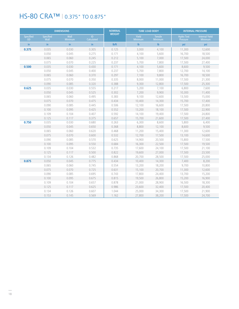### HS-80 CRA™ | 0.375" TO 0.875"

| <b>DIMENSIONS</b>             |                          |                 |                  | <b>NOMINAL</b>     | <b>TUBE LOAD BODY</b> |                           | <b>INTERNAL PRESSURE</b>      |                                         |
|-------------------------------|--------------------------|-----------------|------------------|--------------------|-----------------------|---------------------------|-------------------------------|-----------------------------------------|
| <b>Specified</b><br><b>OD</b> | <b>Specified</b><br>Wall | Wall<br>Minimum | ID<br>Calculated | <b>WEIGHT</b>      | Yield<br>Minimum      | <b>Tensile</b><br>Minimum | <b>Hydro Test</b><br>Pressure | <b>Internal Yield</b><br><b>Minimum</b> |
| in                            | $\mathsf{in}$            | in              | in.              | I <sub>b</sub> /ft | $\mathsf{lb}$         | $\mathsf{lb}$             | psi                           | psi                                     |
| 0.375                         | 0.035                    | 0.030           | 0.305            | 0.125              | 3.000                 | 4,100                     | 11,300                        | 12,600                                  |
|                               | 0.050                    | 0.045           | 0.275            | 0.171              | 4,100                 | 5,600                     | 16,700                        | 18,500                                  |
|                               | 0.065                    | 0.060           | 0.245            | 0.212              | 5,100                 | 7,000                     | 17,500                        | 24,000                                  |
|                               | 0.075                    | 0.070           | 0.225            | 0.237              | 5,700                 | 7,800                     | 17,500                        | 27,400                                  |
| 0.500                         | 0.035                    | 0.030           | 0.430            | 0.171              | 4,100                 | 5,600                     | 8.600                         | 9,500                                   |
|                               | 0.050                    | 0.045           | 0.400            | 0.237              | 5,700                 | 7,800                     | 12,700                        | 14,100                                  |
|                               | 0.065                    | 0.060           | 0.370            | 0.297              | 7,100                 | 9,800                     | 16,700                        | 18,500                                  |
|                               | 0.075                    | 0.070           | 0.350            | 0.335              | 8,000                 | 11,000                    | 17,500                        | 21,300                                  |
|                               | 0.090                    | 0.085           | 0.320            | 0.388              | 9,300                 | 12,800                    | 17,500                        | 25,300                                  |
| 0.625                         | 0.035                    | 0.030           | 0.555            | 0.217              | 5,200                 | 7,100                     | 6,800                         | 7,600                                   |
|                               | 0.050                    | 0.045           | 0.525            | 0.302              | 7,200                 | 9,900                     | 10,300                        | 11,400                                  |
|                               | 0.065                    | 0.060           | 0.495            | 0.383              | 9,100                 | 12,600                    | 13,500                        | 15,000                                  |
|                               | 0.075                    | 0.070           | 0.475            | 0.434              | 10,400                | 14,300                    | 15,700                        | 17,400                                  |
|                               | 0.090                    | 0.085           | 0.445            | 0.506              | 12,100                | 16,600                    | 17,500                        | 20,800                                  |
|                               | 0.100                    | 0.095           | 0.425            | 0.552              | 13,200                | 18,100                    | 17,500                        | 22,900                                  |
|                               | 0.109                    | 0.104           | 0.407            | 0.592              | 14,100                | 19,400                    | 17,500                        | 24,800                                  |
|                               | 0.125                    | 0.117           | 0.375            | 0.657              | 15,700                | 21,600                    | 17,500                        | 27,400                                  |
| 0.750                         | 0.035                    | 0.030           | 0.680            | 0.263              | 6,300                 | 8,600                     | 5,800                         | 6,400                                   |
|                               | 0.050                    | 0.045           | 0.650            | 0.368              | 8,800                 | 12,100                    | 8,600                         | 9,500                                   |
|                               | 0.065                    | 0.060           | 0.620            | 0.468              | 11,200                | 15,400                    | 11,300                        | 12,600                                  |
|                               | 0.075                    | 0.070           | 0.600            | 0.532              | 12,700                | 17,500                    | 13,100                        | 14,600                                  |
|                               | 0.090                    | 0.085           | 0.570            | 0.625              | 14,900                | 20,500                    | 15,800                        | 17,500                                  |
|                               | 0.100                    | 0.095           | 0.550            | 0.684              | 16,300                | 22,500                    | 17,500                        | 19,500                                  |
|                               | 0.109                    | 0.104           | 0.532            | 0.735              | 17,600                | 24,100                    | 17,500                        | 21,100                                  |
|                               | 0.125                    | 0.117           | 0.500            | 0.822              | 19,600                | 27,000                    | 17,500                        | 23,500                                  |
|                               | 0.134                    | 0.126           | 0.482            | 0.868              | 20,700                | 28,500                    | 17.500                        | 25,000                                  |
| 0.875                         | 0.050                    | 0.045           | 0.775            | 0.434              | 10,400                | 14,300                    | 7,400                         | 8,200                                   |
|                               | 0.065                    | 0.060           | 0.745            | 0.554              | 13,200                | 18,200                    | 9.700                         | 10,800                                  |
|                               | 0.075                    | 0.070           | 0.725            | 0.631              | 15,100                | 20,700                    | 11,300                        | 12,600                                  |
|                               | 0.090                    | 0.085           | 0.695            | 0.743              | 17,800                | 24,400                    | 13,700                        | 15,200                                  |
|                               | 0.100                    | 0.095           | 0.675            | 0.815              | 19,500                | 26,800                    | 15,200                        | 16,900                                  |
|                               | 0.109                    | 0.104           | 0.657            | 0.878              | 21,000                | 28,900                    | 16,500                        | 18,300                                  |
|                               | 0.125                    | 0.117           | 0.625            | 0.986              | 23,600                | 32,400                    | 17,500                        | 20,400                                  |
|                               | 0.134                    | 0.126           | 0.607            | 1.044              | 25,000                | 34,300                    | 17,500                        | 21,900                                  |
|                               | 0.153                    | 0.145           | 0.569            | 1.162              | 27,800                | 38,200                    | 17,500                        | 24,700                                  |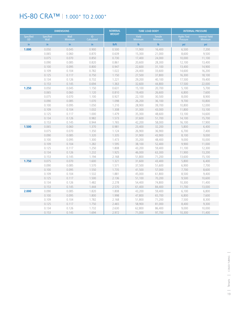### HS-80 CRA™ 1.000" TO 2.000"

| <b>DIMENSIONS</b>      |                          |                 |                   | <b>NOMINAL</b>     |                  | <b>TUBE LOAD BODY</b>            | <b>INTERNAL PRESSURE</b>      |                                         |
|------------------------|--------------------------|-----------------|-------------------|--------------------|------------------|----------------------------------|-------------------------------|-----------------------------------------|
| Specified<br><b>OD</b> | <b>Specified</b><br>Wall | Wall<br>Minimum | ID.<br>Calculated | <b>WEIGHT</b>      | Yield<br>Minimum | <b>Tensile</b><br><b>Minimum</b> | <b>Hydro Test</b><br>Pressure | <b>Internal Yield</b><br><b>Minimum</b> |
| in.                    | in.                      | in.             | in.               | I <sub>b</sub> /ft | $\mathbf{I}$     | $\mathsf{lb}$                    | psi                           | psi                                     |
| 1.000                  | 0.050                    | 0.045           | 0.900             | 0.500              | 11,900           | 16,400                           | 6,500                         | 7,200                                   |
|                        | 0.065                    | 0.060           | 0.870             | 0.639              | 15,300           | 21,000                           | 8.600                         | 9,500                                   |
|                        | 0.075                    | 0.070           | 0.850             | 0.730              | 17,400           | 24,000                           | 10,000                        | 11,100                                  |
|                        | 0.090                    | 0.085           | 0.820             | 0.861              | 20,600           | 28,300                           | 12,100                        | 13,400                                  |
|                        | 0.100                    | 0.095           | 0.800             | 0.947              | 22,600           | 31,100                           | 13,400                        | 14,900                                  |
|                        | 0.109                    | 0.104           | 0.782             | 1.022              | 24,400           | 33,600                           | 14,600                        | 16,200                                  |
|                        | 0.125                    | 0.117           | 0.750             | 1.150              | 27,500           | 37,800                           | 16,300                        | 18,100                                  |
|                        | 0.134                    | 0.126           | 0.732             | 1.221              | 29,200           | 40,100                           | 17,500                        | 19,400                                  |
|                        | 0.153                    | 0.145           | 0.694             | 1.363              | 32,600           | 44,800                           | 17,500                        | 22.000                                  |
| 1.250                  | 0.050                    | 0.045           | 1.150             | 0.631              | 15,100           | 20,700                           | 5,100                         | 5,700                                   |
|                        | 0.065                    | 0.060           | 1.120             | 0.810              | 19,400           | 26,600                           | 6,800                         | 7,600                                   |
|                        | 0.075                    | 0.070           | 1.100             | 0.927              | 22,100           | 30,500                           | 8,000                         | 8,900                                   |
|                        | 0.090                    | 0.085           | 1.070             | 1.098              | 26,200           | 36,100                           | 9,700                         | 10,800                                  |
|                        | 0.100                    | 0.095           | 1.050             | 1.210              | 28,900           | 39,700                           | 10,800                        | 12,000                                  |
|                        | 0.109                    | 0.104           | 1.032             | 1.308              | 31,300           | 43,000                           | 11,800                        | 13,100                                  |
|                        | 0.125                    | 0.117           | 1.000             | 1.479              | 35,300           | 48,600                           | 13,100                        | 14,600                                  |
|                        | 0.134                    | 0.126           | 0.982             | 1.573              | 37,600           | 51,700                           | 14,100                        | 15,700                                  |
|                        | 0.153                    | 0.145           | 0.944             | 1.765              | 42,200           | 58,000                           | 16,100                        | 17,900                                  |
| 1.500                  | 0.065                    | 0.060           | 1.370             | 0.981              | 23,400           | 32,200                           | 5,800                         | 6,400                                   |
|                        | 0.075                    | 0.070           | 1.350             | 1.124              | 26,900           | 36,900                           | 6,700                         | 7,400                                   |
|                        | 0.090                    | 0.085           | 1.320             | 1.335              | 31,900           | 43,900                           | 8,100                         | 9,000                                   |
|                        | 0.100                    | 0.095           | 1.300             | 1.473              | 35,200           | 48,400                           | 9,000                         | 10,000                                  |
|                        | 0.109                    | 0.104           | 1.282             | 1.595              | 38,100           | 52,400                           | 9,900                         | 11,000                                  |
|                        | 0.125                    | 0.117           | 1.250             | 1.808              | 43,200           | 59,400                           | 11,100                        | 12,300                                  |
|                        | 0.134                    | 0.126           | 1.232             | 1.925              | 46,000           | 63,300                           | 11,900                        | 13,200                                  |
|                        | 0.153                    | 0.145           | 1.194             | 2.168              | 51,800           | 71,200                           | 13,600                        | 15,100                                  |
| 1.750                  | 0.075                    | 0.070           | 1.600             | 1.321              | 31,600           | 43,400                           | 5,800                         | 6,400                                   |
|                        | 0.090                    | 0.085           | 1.570             | 1.571              | 37,500           | 51,600                           | 6,900                         | 7,700                                   |
|                        | 0.100                    | 0.095           | 1.550             | 1.735              | 41,500           | 57,000                           | 7,700                         | 8,600                                   |
|                        | 0.109                    | 0.104           | 1.532             | 1.881              | 45,000           | 61,800                           | 8,500                         | 9,400                                   |
|                        | 0.125                    | 0.117           | 1.500             | 2.136              | 51,100           | 70,200                           | 9,500                         | 10,600                                  |
|                        | 0.134                    | 0.126           | 1.482             | 2.278              | 54,400           | 74,800                           | 10,300                        | 11,400                                  |
|                        | 0.153                    | 0.145           | 1.444             | 2.570              | 61,400           | 84,400                           | 11,700                        | 13,000                                  |
| 2.000                  | 0.090                    | 0.085           | 1.820             | 1.808              | 43,200           | 59,400                           | 6,100                         | 6,800                                   |
|                        | 0.100                    | 0.095           | 1.800             | 1.998              | 47,800           | 65,700                           | 6,800                         | 7,600                                   |
|                        | 0.109                    | 0.104           | 1.782             | 2.168              | 51,800           | 71,200                           | 7,500                         | 8,300                                   |
|                        | 0.125                    | 0.117           | 1.750             | 2.465              | 58,900           | 81,000                           | 8,400                         | 9,300                                   |
|                        | 0.134                    | 0.126           | 1.732             | 2.630              | 62,800           | 86,400                           | 9,000                         | 10,000                                  |
|                        | 0.153                    | 0.145           | 1.694             | 2.972              | 71,000           | 97.700                           | 10,300                        | 11,400                                  |